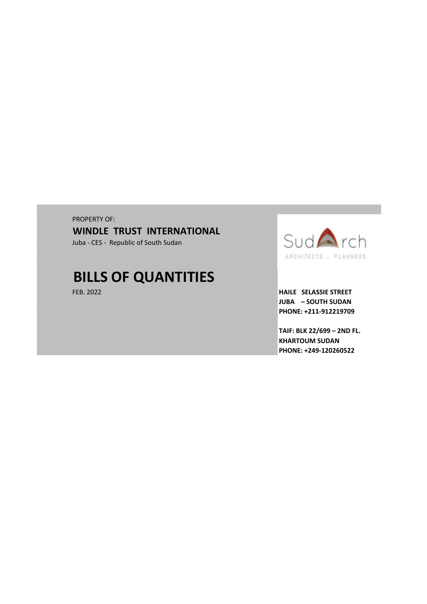# PROPERTY OF: Juba - CES - Republic of South Sudan **WINDLE TRUST INTERNATIONAL**

# **BILLS OF QUANTITIES**



FEB. 2022 **HAILE SELASSIE STREET JUBA – SOUTH SUDAN PHONE: +211-912219709**

> **TAIF: BLK 22/699 – 2ND FL. KHARTOUM SUDAN PHONE: +249-120260522**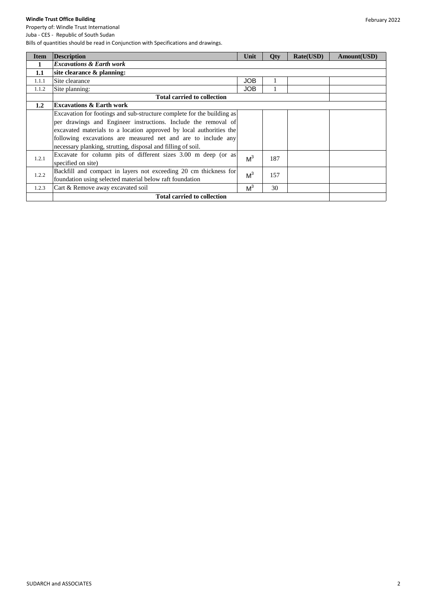| <b>Item</b> | <b>Description</b>                                                     | Unit           | <b>Qty</b> | Rate(USD) | Amount(USD) |
|-------------|------------------------------------------------------------------------|----------------|------------|-----------|-------------|
| 1           | <b>Excavations &amp; Earth work</b>                                    |                |            |           |             |
| 1.1         | site clearance $\&$ planning:                                          |                |            |           |             |
| 1.1.1       | Site clearance                                                         | <b>JOB</b>     |            |           |             |
| 1.1.2       | Site planning:                                                         | <b>JOB</b>     |            |           |             |
|             | <b>Total carried to collection</b>                                     |                |            |           |             |
| 1.2         | <b>Excavations &amp; Earth work</b>                                    |                |            |           |             |
|             | Excavation for footings and sub-structure complete for the building as |                |            |           |             |
|             | per drawings and Engineer instructions. Include the removal of         |                |            |           |             |
|             | excavated materials to a location approved by local authorities the    |                |            |           |             |
|             | following excavations are measured net and are to include any          |                |            |           |             |
|             | necessary planking, strutting, disposal and filling of soil.           |                |            |           |             |
| 1.2.1       | Excavate for column pits of different sizes 3.00 m deep (or as         | M <sup>3</sup> | 187        |           |             |
|             | specified on site)                                                     |                |            |           |             |
|             | Backfill and compact in layers not exceeding 20 cm thickness for       | M <sup>3</sup> | 157        |           |             |
| 1.2.2       | foundation using selected material below raft foundation               |                |            |           |             |
| 1.2.3       | Cart & Remove away excavated soil                                      | M <sup>3</sup> | 30         |           |             |
|             | <b>Total carried to collection</b>                                     |                |            |           |             |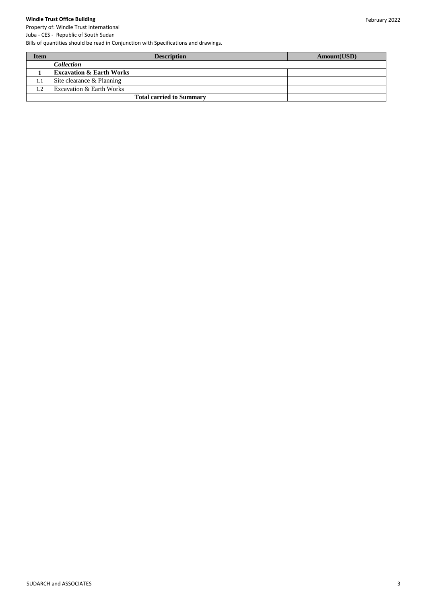Property of: Windle Trust International Juba - CES - Republic of South Sudan

| <b>Item</b> | <b>Description</b>                  | Amount(USD) |
|-------------|-------------------------------------|-------------|
|             | <b>Collection</b>                   |             |
|             | <b>Excavation &amp; Earth Works</b> |             |
| 1.1         | Site clearance & Planning           |             |
| 1.2         | <b>Excavation &amp; Earth Works</b> |             |
|             | <b>Total carried to Summary</b>     |             |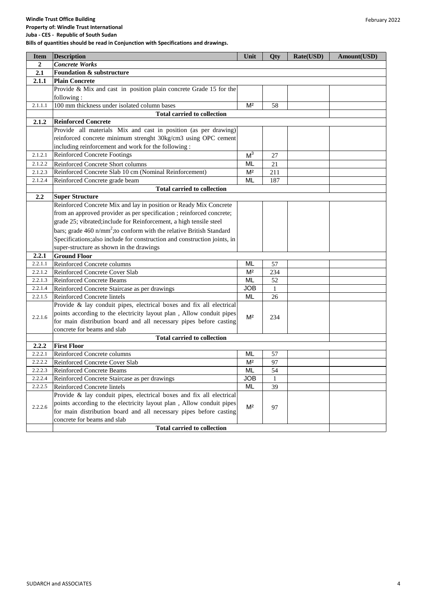**Property of: Windle Trust International Juba - CES - Republic of South Sudan**

| <b>Item</b>    | <b>Description</b>                                                        | Unit           | Qty          | Rate(USD) | Amount(USD) |
|----------------|---------------------------------------------------------------------------|----------------|--------------|-----------|-------------|
| $\overline{2}$ | <b>Concrete Works</b>                                                     |                |              |           |             |
| 2.1            | <b>Foundation &amp; substructure</b>                                      |                |              |           |             |
| 2.1.1          | <b>Plain Concrete</b>                                                     |                |              |           |             |
|                | Provide & Mix and cast in position plain concrete Grade 15 for the        |                |              |           |             |
|                | following:                                                                |                |              |           |             |
| 2.1.1.1        | 100 mm thickness under isolated column bases                              | M <sup>2</sup> | 58           |           |             |
|                | <b>Total carried to collection</b>                                        |                |              |           |             |
| 2.1.2          | <b>Reinforced Concrete</b>                                                |                |              |           |             |
|                | Provide all materials Mix and cast in position (as per drawing)           |                |              |           |             |
|                | reinforced concrete minimum strenght 30kg/cm3 using OPC cement            |                |              |           |             |
|                | including reinforcement and work for the following :                      |                |              |           |             |
| 2.1.2.1        | Reinforced Concrete Footings                                              | M <sup>3</sup> | 27           |           |             |
| 2.1.2.2        | Reinforced Concrete Short columns                                         | ML             | 21           |           |             |
| 2.1.2.3        | Reinforced Concrete Slab 10 cm (Nominal Reinforcement)                    | M <sup>2</sup> | 211          |           |             |
| 2.1.2.4        | Reinforced Concrete grade beam                                            | <b>ML</b>      | 187          |           |             |
|                | <b>Total carried to collection</b>                                        |                |              |           |             |
| 2.2            | <b>Super Structure</b>                                                    |                |              |           |             |
|                | Reinforced Concrete Mix and lay in position or Ready Mix Concrete         |                |              |           |             |
|                | from an approved provider as per specification; reinforced concrete;      |                |              |           |             |
|                | grade 25; vibrated;include for Reinforcement, a high tensile steel        |                |              |           |             |
|                | bars; grade 460 $n/mm^2$ ; to conform with the relative British Standard  |                |              |           |             |
|                | Specifications; also include for construction and construction joints, in |                |              |           |             |
|                | super-structure as shown in the drawings                                  |                |              |           |             |
| 2.2.1          | <b>Ground Floor</b>                                                       |                |              |           |             |
| 2.2.1.1        | Reinforced Concrete columns                                               | <b>ML</b>      | 57           |           |             |
| 2.2.1.2        | Reinforced Concrete Cover Slab                                            | M <sup>2</sup> | 234          |           |             |
| 2.2.1.3        | Reinforced Concrete Beams                                                 | ML             | 52           |           |             |
| 2.2.1.4        | Reinforced Concrete Staircase as per drawings                             | <b>JOB</b>     | $\mathbf{1}$ |           |             |
| 2.2.1.5        | Reinforced Concrete lintels                                               | <b>ML</b>      | 26           |           |             |
|                | Provide & lay conduit pipes, electrical boxes and fix all electrical      |                |              |           |             |
| 2.2.1.6        | points according to the electricity layout plan, Allow conduit pipes      | M <sup>2</sup> | 234          |           |             |
|                | for main distribution board and all necessary pipes before casting        |                |              |           |             |
|                | concrete for beams and slab                                               |                |              |           |             |
|                | <b>Total carried to collection</b>                                        |                |              |           |             |
| 2.2.2          | <b>First Floor</b>                                                        |                |              |           |             |
| 2.2.2.1        | Reinforced Concrete columns                                               | ML             | 57           |           |             |
| 2.2.2.2        | Reinforced Concrete Cover Slab                                            | M <sup>2</sup> | 97           |           |             |
| 2.2.2.3        | <b>Reinforced Concrete Beams</b>                                          | <b>ML</b>      | 54           |           |             |
| 2.2.2.4        | Reinforced Concrete Staircase as per drawings                             | JOB            | 1            |           |             |
| 2.2.2.5        | Reinforced Concrete lintels                                               | ML             | 39           |           |             |
|                | Provide & lay conduit pipes, electrical boxes and fix all electrical      |                |              |           |             |
| 2.2.2.6        | points according to the electricity layout plan, Allow conduit pipes      | M <sup>2</sup> | 97           |           |             |
|                | for main distribution board and all necessary pipes before casting        |                |              |           |             |
|                | concrete for beams and slab                                               |                |              |           |             |
|                | <b>Total carried to collection</b>                                        |                |              |           |             |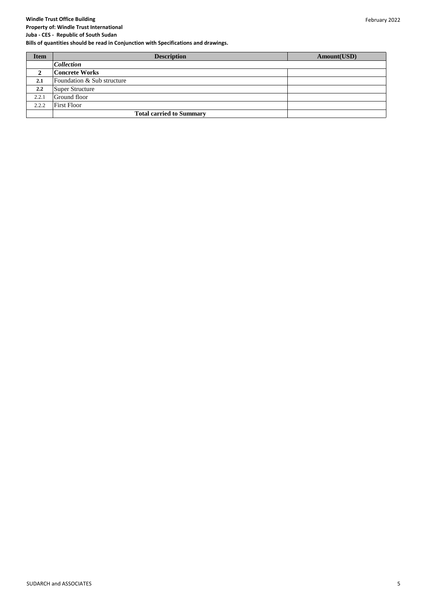#### **Property of: Windle Trust International Juba - CES - Republic of South Sudan**

| <b>Item</b> | <b>Description</b>              | Amount(USD) |
|-------------|---------------------------------|-------------|
|             | <b>Collection</b>               |             |
| 2           | <b>Concrete Works</b>           |             |
| 2.1         | Foundation & Sub structure      |             |
| 2.2         | Super Structure                 |             |
| 2.2.1       | Ground floor                    |             |
| 2.2.2       | <b>First Floor</b>              |             |
|             | <b>Total carried to Summary</b> |             |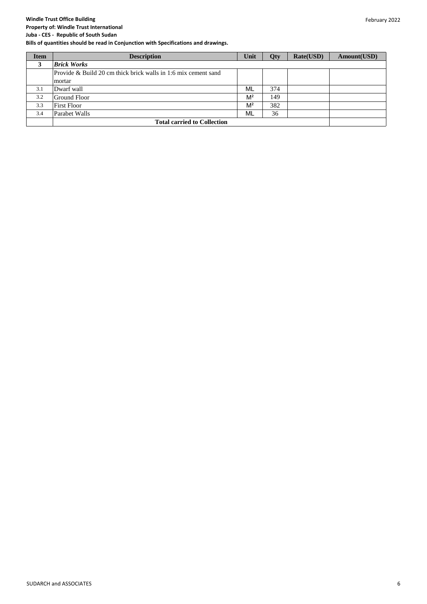#### February 2022

# **Windle Trust Office Building**

#### **Property of: Windle Trust International Juba - CES - Republic of South Sudan**

| <b>Item</b> | <b>Description</b>                                                | Unit           | <b>Oty</b> | Rate(USD) | Amount(USD) |
|-------------|-------------------------------------------------------------------|----------------|------------|-----------|-------------|
| 3           | <b>Brick Works</b>                                                |                |            |           |             |
|             | Provide $\&$ Build 20 cm thick brick walls in 1:6 mix cement sand |                |            |           |             |
|             | mortar                                                            |                |            |           |             |
| 3.1         | Dwarf wall                                                        | ML             | 374        |           |             |
| 3.2         | Ground Floor                                                      | M <sup>2</sup> | 149        |           |             |
| 3.3         | <b>First Floor</b>                                                | M <sup>2</sup> | 382        |           |             |
| 3.4         | Parabet Walls                                                     | ML             | 36         |           |             |
|             | <b>Total carried to Collection</b>                                |                |            |           |             |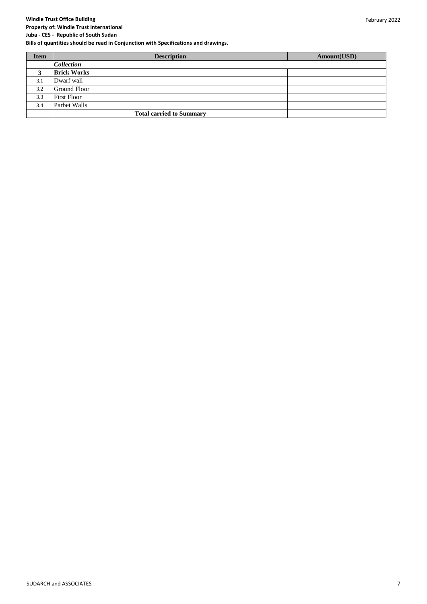**Property of: Windle Trust International Juba - CES - Republic of South Sudan**

| <b>Item</b> | <b>Description</b>              | Amount(USD) |
|-------------|---------------------------------|-------------|
|             | <b>Collection</b>               |             |
| 3           | <b>Brick Works</b>              |             |
| 3.1         | Dwarf wall                      |             |
| 3.2         | <b>Ground Floor</b>             |             |
| 3.3         | <b>First Floor</b>              |             |
| 3.4         | Parbet Walls                    |             |
|             | <b>Total carried to Summary</b> |             |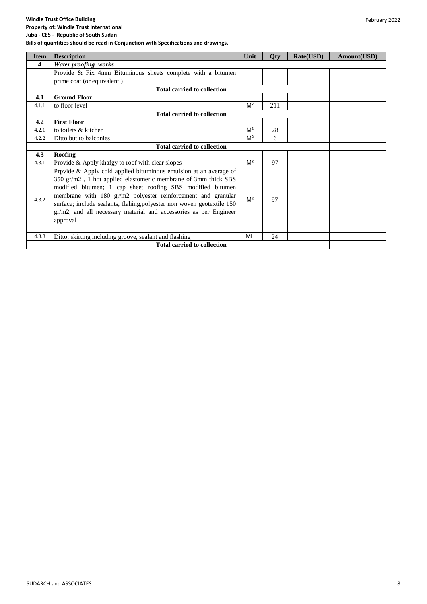**Property of: Windle Trust International Juba - CES - Republic of South Sudan**

| <b>Item</b> | <b>Description</b>                                                                                                                                                                                                                                                                                                                                                                                                           | Unit           | Qty | Rate(USD) | Amount(USD) |
|-------------|------------------------------------------------------------------------------------------------------------------------------------------------------------------------------------------------------------------------------------------------------------------------------------------------------------------------------------------------------------------------------------------------------------------------------|----------------|-----|-----------|-------------|
| 4           | Water proofing works                                                                                                                                                                                                                                                                                                                                                                                                         |                |     |           |             |
|             | Provide & Fix 4mm Bituminous sheets complete with a bitumen                                                                                                                                                                                                                                                                                                                                                                  |                |     |           |             |
|             | prime coat (or equivalent)                                                                                                                                                                                                                                                                                                                                                                                                   |                |     |           |             |
|             | <b>Total carried to collection</b>                                                                                                                                                                                                                                                                                                                                                                                           |                |     |           |             |
| 4.1         | <b>Ground Floor</b>                                                                                                                                                                                                                                                                                                                                                                                                          |                |     |           |             |
| 4.1.1       | to floor level                                                                                                                                                                                                                                                                                                                                                                                                               | $M^2$          | 211 |           |             |
|             | <b>Total carried to collection</b>                                                                                                                                                                                                                                                                                                                                                                                           |                |     |           |             |
| 4.2         | <b>First Floor</b>                                                                                                                                                                                                                                                                                                                                                                                                           |                |     |           |             |
| 4.2.1       | to toilets & kitchen                                                                                                                                                                                                                                                                                                                                                                                                         | M <sup>2</sup> | 28  |           |             |
| 4.2.2       | Ditto but to balconies                                                                                                                                                                                                                                                                                                                                                                                                       | M <sup>2</sup> | 6   |           |             |
|             | <b>Total carried to collection</b>                                                                                                                                                                                                                                                                                                                                                                                           |                |     |           |             |
| 4.3         | <b>Roofing</b>                                                                                                                                                                                                                                                                                                                                                                                                               |                |     |           |             |
| 4.3.1       | Provide & Apply khafgy to roof with clear slopes                                                                                                                                                                                                                                                                                                                                                                             | M <sup>2</sup> | 97  |           |             |
| 4.3.2       | Prpvide & Apply cold applied bituminous emulsion at an average of<br>350 gr/m2, 1 hot applied elastomeric membrane of 3mm thick SBS<br>modified bitumen; 1 cap sheet roofing SBS modified bitumen<br>membrane with 180 gr/m2 polyester reinforcement and granular<br>surface; include sealants, flahing, polyester non woven geotextile 150<br>gr/m2, and all necessary material and accessories as per Engineer<br>approval | M <sup>2</sup> | 97  |           |             |
| 4.3.3       | Ditto; skirting including groove, sealant and flashing                                                                                                                                                                                                                                                                                                                                                                       | ML             | 24  |           |             |
|             | <b>Total carried to collection</b>                                                                                                                                                                                                                                                                                                                                                                                           |                |     |           |             |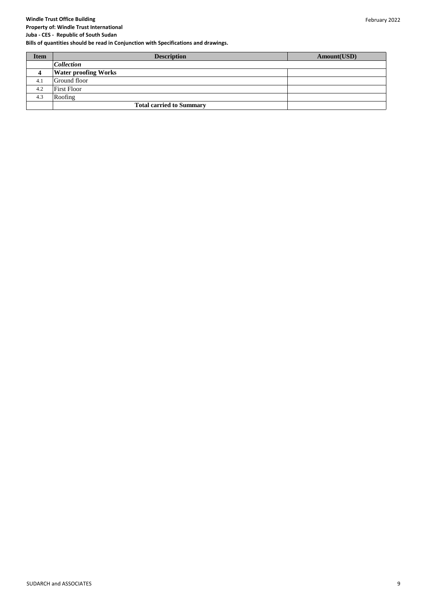February 2022

# **Windle Trust Office Building**

**Property of: Windle Trust International Juba - CES - Republic of South Sudan**

| <b>Item</b>    | <b>Description</b>              | Amount(USD) |
|----------------|---------------------------------|-------------|
|                | <i>Collection</i>               |             |
| $\overline{4}$ | <b>Water proofing Works</b>     |             |
| 4.1            | Ground floor                    |             |
| 4.2            | <b>First Floor</b>              |             |
| 4.3            | Roofing                         |             |
|                | <b>Total carried to Summary</b> |             |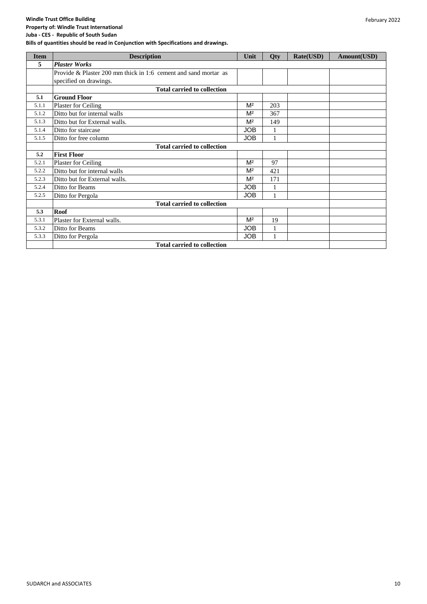#### **Property of: Windle Trust International Juba - CES - Republic of South Sudan**

| <b>Item</b> | <b>Description</b>                                              | Unit           | Qty          | Rate(USD) | Amount(USD) |
|-------------|-----------------------------------------------------------------|----------------|--------------|-----------|-------------|
| 5           | <b>Plaster Works</b>                                            |                |              |           |             |
|             | Provide & Plaster 200 mm thick in 1:6 cement and sand mortar as |                |              |           |             |
|             | specified on drawings.                                          |                |              |           |             |
|             | <b>Total carried to collection</b>                              |                |              |           |             |
| 5.1         | <b>Ground Floor</b>                                             |                |              |           |             |
| 5.1.1       | Plaster for Ceiling                                             | M <sup>2</sup> | 203          |           |             |
| 5.1.2       | Ditto but for internal walls                                    | M <sup>2</sup> | 367          |           |             |
| 5.1.3       | Ditto but for External walls.                                   | M <sup>2</sup> | 149          |           |             |
| 5.1.4       | Ditto for staircase                                             | <b>JOB</b>     |              |           |             |
| 5.1.5       | Ditto for free column                                           | JOB            | $\mathbf{1}$ |           |             |
|             | <b>Total carried to collection</b>                              |                |              |           |             |
| 5.2         | <b>First Floor</b>                                              |                |              |           |             |
| 5.2.1       | Plaster for Ceiling                                             | M <sup>2</sup> | 97           |           |             |
| 5.2.2       | Ditto but for internal walls                                    | M <sup>2</sup> | 421          |           |             |
| 5.2.3       | Ditto but for External walls.                                   | M <sup>2</sup> | 171          |           |             |
| 5.2.4       | Ditto for Beams                                                 | JOB            | $\mathbf{1}$ |           |             |
| 5.2.5       | Ditto for Pergola                                               | <b>JOB</b>     |              |           |             |
|             | <b>Total carried to collection</b>                              |                |              |           |             |
| 5.3         | Roof                                                            |                |              |           |             |
| 5.3.1       | Plaster for External walls.                                     | M <sup>2</sup> | 19           |           |             |
| 5.3.2       | Ditto for Beams                                                 | JOB            |              |           |             |
| 5.3.3       | Ditto for Pergola                                               | <b>JOB</b>     |              |           |             |
|             | <b>Total carried to collection</b>                              |                |              |           |             |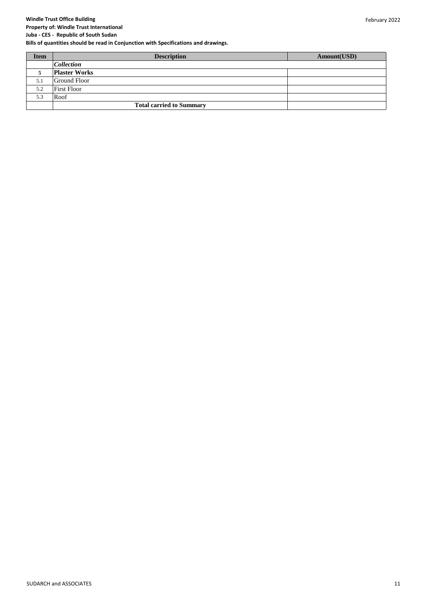**Property of: Windle Trust International Juba - CES - Republic of South Sudan**

| <b>Item</b> | <b>Description</b>              | Amount(USD) |
|-------------|---------------------------------|-------------|
|             | <b>Collection</b>               |             |
| 5           | <b>Plaster Works</b>            |             |
| 5.1         | Ground Floor                    |             |
| 5.2         | <b>First Floor</b>              |             |
| 5.3         | Roof                            |             |
|             | <b>Total carried to Summary</b> |             |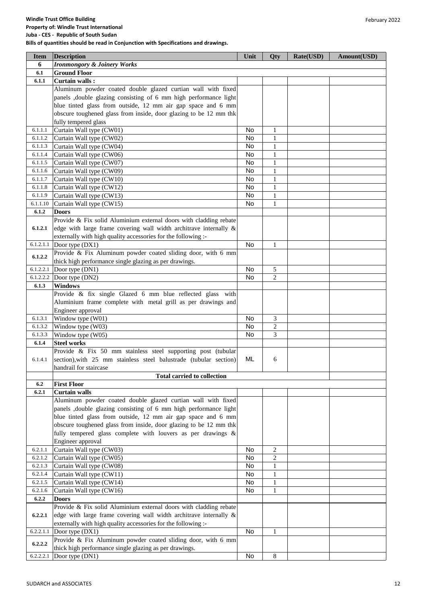| <b>Windle Trust Office Building</b>                                                 |
|-------------------------------------------------------------------------------------|
| <b>Property of: Windle Trust International</b>                                      |
| Juba - CES - Republic of South Sudan                                                |
| Bills of quantities should be read in Conjunction with Specifications and drawings. |

| <b>Item</b> | <b>Description</b>                                                   | Unit      | Qty            | Rate(USD) | Amount(USD) |
|-------------|----------------------------------------------------------------------|-----------|----------------|-----------|-------------|
| 6           | <b>Ironmongory &amp; Joinery Works</b>                               |           |                |           |             |
| 6.1         | <b>Ground Floor</b>                                                  |           |                |           |             |
| 6.1.1       | Curtain walls:                                                       |           |                |           |             |
|             | Aluminum powder coated double glazed curtian wall with fixed         |           |                |           |             |
|             | panels , double glazing consisting of 6 mm high performance light    |           |                |           |             |
|             | blue tinted glass from outside, 12 mm air gap space and 6 mm         |           |                |           |             |
|             | obscure toughened glass from inside, door glazing to be 12 mm thk    |           |                |           |             |
|             | fully tempered glass                                                 |           |                |           |             |
| 6.1.1.1     | Curtain Wall type (CW01)                                             | No        | $\mathbf{1}$   |           |             |
| 6.1.1.2     | Curtain Wall type (CW02)                                             | No        | $\mathbf{1}$   |           |             |
| 6.1.1.3     | Curtain Wall type (CW04)                                             | No        | $\mathbf{1}$   |           |             |
| 6.1.1.4     | Curtain Wall type (CW06)                                             | No        | $\mathbf{1}$   |           |             |
| 6.1.1.5     | Curtain Wall type (CW07)                                             | No        | 1              |           |             |
| 6.1.1.6     | Curtain Wall type (CW09)                                             | No        | 1              |           |             |
| 6.1.1.7     | Curtain Wall type (CW10)                                             | No        | 1              |           |             |
| 6.1.1.8     | Curtain Wall type (CW12)                                             | <b>No</b> | $\mathbf{1}$   |           |             |
| 6.1.1.9     | Curtain Wall type (CW13)                                             | No        | $\mathbf{1}$   |           |             |
| 6.1.1.10    | Curtain Wall type (CW15)                                             | <b>No</b> | $\mathbf{1}$   |           |             |
| 6.1.2       | <b>Doors</b>                                                         |           |                |           |             |
|             | Provide & Fix solid Aluminium external doors with cladding rebate    |           |                |           |             |
| 6.1.2.1     | edge with large frame covering wall width architrave internally $\&$ |           |                |           |             |
|             | externally with high quality accessories for the following :-        |           |                |           |             |
| 6.1.2.1.1   | Door type (DX1)                                                      | No        | $\mathbf{1}$   |           |             |
| 6.1.2.2     | Provide & Fix Aluminum powder coated sliding door, with 6 mm         |           |                |           |             |
|             | thick high performance single glazing as per drawings.               |           |                |           |             |
| 6.1.2.2.1   | Door type (DN1)                                                      | No        | $\sqrt{5}$     |           |             |
| 6.1.2.2.2   | Door type (DN2)                                                      | <b>No</b> | $\overline{c}$ |           |             |
| 6.1.3       | <b>Windows</b>                                                       |           |                |           |             |
|             | Provide & fix single Glazed 6 mm blue reflected glass with           |           |                |           |             |
|             | Aluminium frame complete with metal grill as per drawings and        |           |                |           |             |
|             | Engineer approval                                                    |           |                |           |             |
| 6.1.3.1     | Window type (W01)                                                    | No        | 3              |           |             |
| 6.1.3.2     | Window type (W03)                                                    | No        | 2              |           |             |
| 6.1.3.3     | Window type (W05)                                                    | No        | 3              |           |             |
| 6.1.4       | <b>Steel works</b>                                                   |           |                |           |             |
|             | Provide & Fix 50 mm stainless steel supporting post (tubular         |           |                |           |             |
| 6.1.4.1     | section), with 25 mm stainless steel balustrade (tubular section)    | ML        | 6              |           |             |
|             | handrail for staircase                                               |           |                |           |             |
|             | <b>Total carried to collection</b>                                   |           |                |           |             |
| 6.2         | <b>First Floor</b>                                                   |           |                |           |             |
| 6.2.1       | <b>Curtain walls</b>                                                 |           |                |           |             |
|             | Aluminum powder coated double glazed curtian wall with fixed         |           |                |           |             |
|             | panels , double glazing consisting of 6 mm high performance light    |           |                |           |             |
|             | blue tinted glass from outside, 12 mm air gap space and 6 mm         |           |                |           |             |
|             | obscure toughened glass from inside, door glazing to be 12 mm thk    |           |                |           |             |
|             | fully tempered glass complete with louvers as per drawings &         |           |                |           |             |
| 6.2.1.1     | Engineer approval                                                    | No        | $\overline{c}$ |           |             |
| 6.2.1.2     | Curtain Wall type (CW03)                                             | No        | $\mathbf{2}$   |           |             |
| 6.2.1.3     | Curtain Wall type (CW05)<br>Curtain Wall type (CW08)                 | No        | $\mathbf{1}$   |           |             |
| 6.2.1.4     | Curtain Wall type (CW11)                                             | No        | $\mathbf{1}$   |           |             |
| 6.2.1.5     | Curtain Wall type (CW14)                                             | No        | $\mathbf{1}$   |           |             |
| 6.2.1.6     | Curtain Wall type (CW16)                                             | No        | $\mathbf{1}$   |           |             |
| 6.2.2       | <b>Doors</b>                                                         |           |                |           |             |
|             | Provide & Fix solid Aluminium external doors with cladding rebate    |           |                |           |             |
| 6.2.2.1     | edge with large frame covering wall width architrave internally $\&$ |           |                |           |             |
|             | externally with high quality accessories for the following :-        |           |                |           |             |
| 6.2.2.1.1   | Door type $(DX1)$                                                    | No        | $\mathbf{1}$   |           |             |
|             | Provide & Fix Aluminum powder coated sliding door, with 6 mm         |           |                |           |             |
| 6.2.2.2     | thick high performance single glazing as per drawings.               |           |                |           |             |
| 6.2.2.2.1   | Door type (DN1)                                                      | No        | $\,8\,$        |           |             |
|             |                                                                      |           |                |           |             |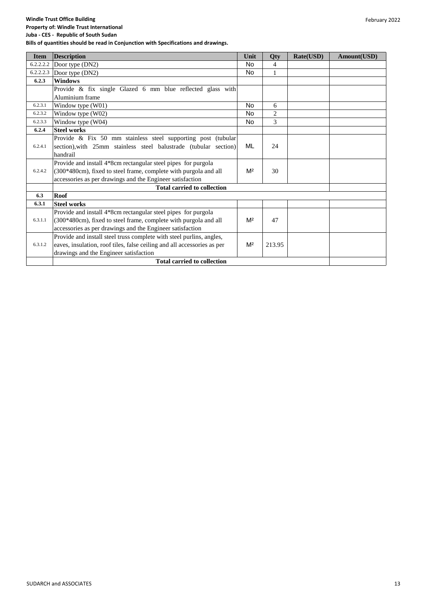#### **Windle Trust Office Building Property of: Windle Trust International**

**Juba - CES - Republic of South Sudan**

| <b>Item</b> | <b>Description</b>                                                      | Unit           | Qty          | Rate(USD) | Amount(USD) |
|-------------|-------------------------------------------------------------------------|----------------|--------------|-----------|-------------|
| 6.2.2.2.2   | Door type (DN2)                                                         | No             | 4            |           |             |
| 6.2.2.2.3   | Door type (DN2)                                                         | No             | $\mathbf{1}$ |           |             |
| 6.2.3       | <b>Windows</b>                                                          |                |              |           |             |
|             | Provide & fix single Glazed 6 mm blue reflected glass with              |                |              |           |             |
|             | Aluminium frame                                                         |                |              |           |             |
| 6.2.3.1     | Window type (W01)                                                       | <b>No</b>      | 6            |           |             |
| 6.2.3.2     | Window type (W02)                                                       | <b>No</b>      | $\mathbf{2}$ |           |             |
| 6.2.3.3     | Window type (W04)                                                       | No             | 3            |           |             |
| 6.2.4       | <b>Steel works</b>                                                      |                |              |           |             |
|             | Provide & Fix 50 mm stainless steel supporting post (tubular            |                |              |           |             |
| 6.2.4.1     | section), with 25mm stainless steel balustrade (tubular section)        | ML             | 24           |           |             |
|             | handrail                                                                |                |              |           |             |
|             | Provide and install 4*8cm rectangular steel pipes for purgola           |                |              |           |             |
| 6.2.4.2     | (300*480cm), fixed to steel frame, complete with purgola and all        | M <sup>2</sup> | 30           |           |             |
|             | accessories as per drawings and the Engineer satisfaction               |                |              |           |             |
|             | <b>Total carried to collection</b>                                      |                |              |           |             |
| 6.3         | <b>Roof</b>                                                             |                |              |           |             |
| 6.3.1       | <b>Steel works</b>                                                      |                |              |           |             |
|             | Provide and install 4*8cm rectangular steel pipes for purgola           |                |              |           |             |
| 6.3.1.1     | (300*480cm), fixed to steel frame, complete with purgola and all        | M <sup>2</sup> | 47           |           |             |
|             | accessories as per drawings and the Engineer satisfaction               |                |              |           |             |
|             | Provide and install steel truss complete with steel purlins, angles,    |                |              |           |             |
| 6.3.1.2     | eaves, insulation, roof tiles, false ceiling and all accessories as per | M <sup>2</sup> | 213.95       |           |             |
|             | drawings and the Engineer satisfaction                                  |                |              |           |             |
|             | <b>Total carried to collection</b>                                      |                |              |           |             |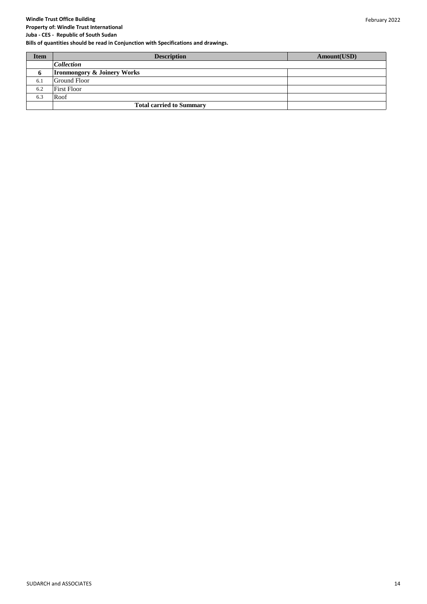#### **Property of: Windle Trust International Juba - CES - Republic of South Sudan**

| <b>Item</b> | <b>Description</b>                     | Amount(USD) |
|-------------|----------------------------------------|-------------|
|             | <b>Collection</b>                      |             |
| $\mathbf o$ | <b>Ironmongory &amp; Joinery Works</b> |             |
| 6.1         | Ground Floor                           |             |
| 6.2         | <b>First Floor</b>                     |             |
| 6.3         | Roof                                   |             |
|             | <b>Total carried to Summary</b>        |             |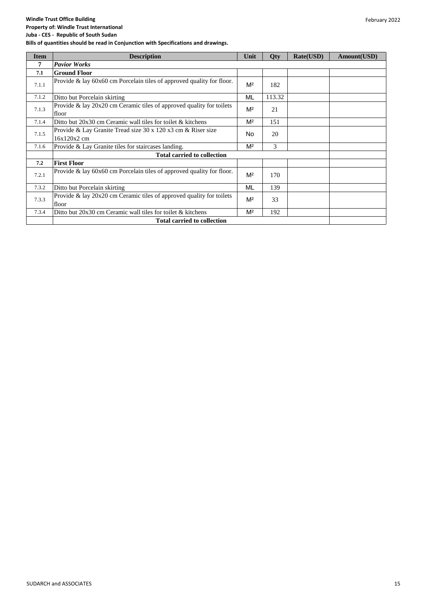#### **Windle Trust Office Building Property of: Windle Trust International**

| <b>Item</b> | <b>Description</b>                                                            | Unit           | Qty    | Rate(USD) | Amount(USD) |
|-------------|-------------------------------------------------------------------------------|----------------|--------|-----------|-------------|
| 7           | <b>Pavior Works</b>                                                           |                |        |           |             |
| 7.1         | <b>Ground Floor</b>                                                           |                |        |           |             |
| 7.1.1       | Provide $\&$ lay 60x60 cm Porcelain tiles of approved quality for floor.      | M <sup>2</sup> | 182    |           |             |
| 7.1.2       | Ditto but Porcelain skirting                                                  | ML             | 113.32 |           |             |
| 7.1.3       | Provide & lay 20x20 cm Ceramic tiles of approved quality for toilets<br>floor | M <sup>2</sup> | 21     |           |             |
| 7.1.4       | Ditto but 20x30 cm Ceramic wall tiles for toilet & kitchens                   | M <sup>2</sup> | 151    |           |             |
| 7.1.5       | Provide & Lay Granite Tread size 30 x 120 x3 cm & Riser size<br>16x120x2 cm   | No             | 20     |           |             |
| 7.1.6       | Provide & Lay Granite tiles for staircases landing.                           | M <sup>2</sup> | 3      |           |             |
|             | <b>Total carried to collection</b>                                            |                |        |           |             |
| 7.2         | <b>First Floor</b>                                                            |                |        |           |             |
| 7.2.1       | Provide $\&$ lay 60x60 cm Porcelain tiles of approved quality for floor.      | M <sup>2</sup> | 170    |           |             |
| 7.3.2       | Ditto but Porcelain skirting                                                  | ML             | 139    |           |             |
| 7.3.3       | Provide & lay 20x20 cm Ceramic tiles of approved quality for toilets<br>floor | M <sup>2</sup> | 33     |           |             |
| 7.3.4       | Ditto but $20x30$ cm Ceramic wall tiles for toilet & kitchens                 | M <sup>2</sup> | 192    |           |             |
|             | <b>Total carried to collection</b>                                            |                |        |           |             |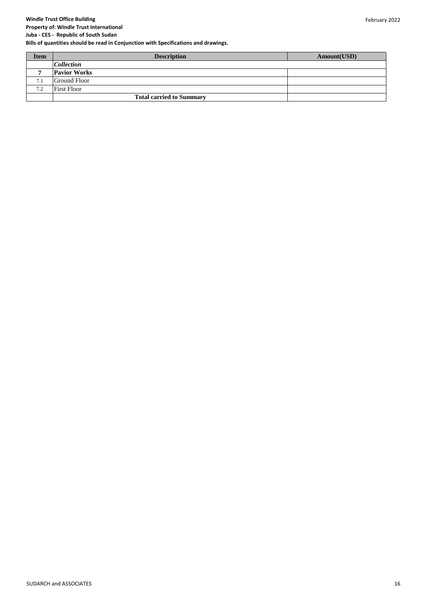**Property of: Windle Trust International**

**Juba - CES - Republic of South Sudan Bills of quantities should be read in Conjunction with Specifications and drawings.**

| <b>Item</b> | <b>Description</b>              | Amount(USD) |
|-------------|---------------------------------|-------------|
|             | <b>Collection</b>               |             |
|             | <b>Pavior Works</b>             |             |
| 7.1         | Ground Floor                    |             |
| 7.2         | First Floor                     |             |
|             | <b>Total carried to Summary</b> |             |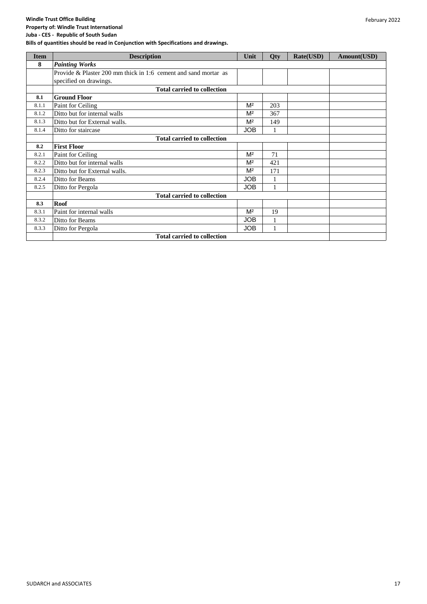#### **Property of: Windle Trust International Juba - CES - Republic of South Sudan**

| <b>Item</b> | <b>Description</b>                                              | Unit           | Qty          | Rate(USD) | Amount(USD) |
|-------------|-----------------------------------------------------------------|----------------|--------------|-----------|-------------|
| 8           | <b>Painting Works</b>                                           |                |              |           |             |
|             | Provide & Plaster 200 mm thick in 1:6 cement and sand mortar as |                |              |           |             |
|             | specified on drawings.                                          |                |              |           |             |
|             | <b>Total carried to collection</b>                              |                |              |           |             |
| 8.1         | <b>Ground Floor</b>                                             |                |              |           |             |
| 8.1.1       | Paint for Ceiling                                               | M <sup>2</sup> | 203          |           |             |
| 8.1.2       | Ditto but for internal walls                                    | M <sup>2</sup> | 367          |           |             |
| 8.1.3       | Ditto but for External walls.                                   | M <sup>2</sup> | 149          |           |             |
| 8.1.4       | Ditto for staircase                                             | <b>JOB</b>     |              |           |             |
|             | <b>Total carried to collection</b>                              |                |              |           |             |
| 8.2         | <b>First Floor</b>                                              |                |              |           |             |
| 8.2.1       | Paint for Ceiling                                               | M <sup>2</sup> | 71           |           |             |
| 8.2.2       | Ditto but for internal walls                                    | M <sup>2</sup> | 421          |           |             |
| 8.2.3       | Ditto but for External walls.                                   | M <sup>2</sup> | 171          |           |             |
| 8.2.4       | Ditto for Beams                                                 | <b>JOB</b>     | $\mathbf{1}$ |           |             |
| 8.2.5       | Ditto for Pergola                                               | <b>JOB</b>     |              |           |             |
|             | <b>Total carried to collection</b>                              |                |              |           |             |
| 8.3         | <b>Roof</b>                                                     |                |              |           |             |
| 8.3.1       | Paint for internal walls                                        | M <sup>2</sup> | 19           |           |             |
| 8.3.2       | Ditto for Beams                                                 | <b>JOB</b>     |              |           |             |
| 8.3.3       | Ditto for Pergola                                               | <b>JOB</b>     | $\mathbf{1}$ |           |             |
|             | <b>Total carried to collection</b>                              |                |              |           |             |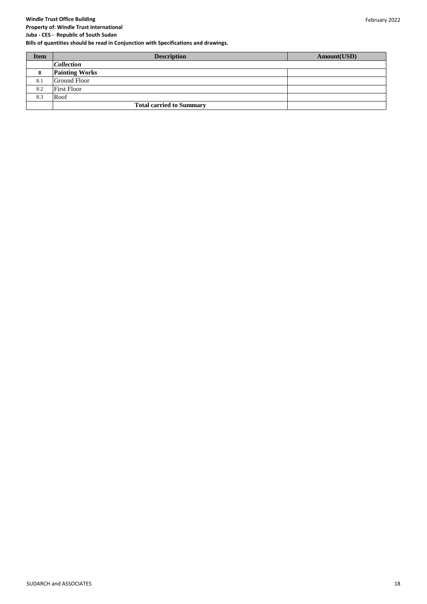**Property of: Windle Trust International Juba - CES - Republic of South Sudan**

| <b>Item</b> | <b>Description</b>              | Amount(USD) |
|-------------|---------------------------------|-------------|
|             | <i>Collection</i>               |             |
| 8           | <b>Painting Works</b>           |             |
| 8.1         | Ground Floor                    |             |
| 8.2         | <b>First Floor</b>              |             |
| 8.3         | Roof                            |             |
|             | <b>Total carried to Summary</b> |             |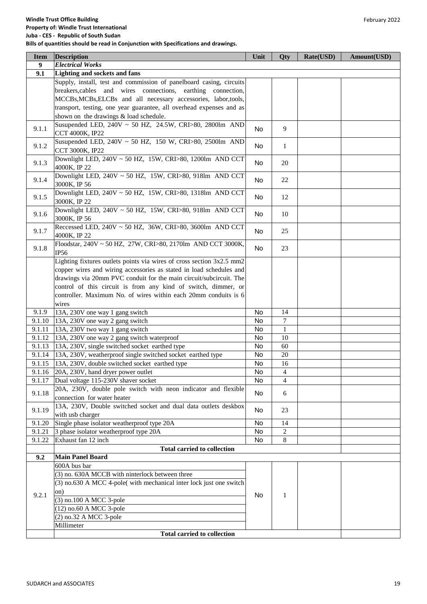| <b>Item</b> | <b>Description</b>                                                    | Unit      | Qty            | Rate(USD) | Amount(USD) |
|-------------|-----------------------------------------------------------------------|-----------|----------------|-----------|-------------|
| 9           | <b>Electrical Works</b>                                               |           |                |           |             |
| 9.1         | Lighting and sockets and fans                                         |           |                |           |             |
|             | Supply, install, test and commission of panelboard casing, circuits   |           |                |           |             |
|             | breakers, cables and wires connections, earthing connection,          |           |                |           |             |
|             | MCCBs, MCBs, ELCBs and all necessary accessories, labor, tools,       |           |                |           |             |
|             | transport, testing, one year guarantee, all overhead expenses and as  |           |                |           |             |
|             | shown on the drawings & load schedule.                                |           |                |           |             |
|             | Susupended LED, 240V ~ 50 HZ, 24.5W, CRI>80, 2800lm AND               | <b>No</b> | 9              |           |             |
| 9.1.1       | CCT 4000K, IP22                                                       |           |                |           |             |
|             | Susupended LED, $240V \sim 50$ HZ, 150 W, CRI>80, 2500lm AND          |           |                |           |             |
| 9.1.2       | CCT 3000K, IP22                                                       | No        | $\mathbf{1}$   |           |             |
|             | Downlight LED, 240V ~ 50 HZ, 15W, CRI>80, 1200lm AND CCT              |           |                |           |             |
| 9.1.3       | 4000K, IP 22                                                          | No        | 20             |           |             |
|             | Downlight LED, 240V ~ 50 HZ, 15W, CRI>80, 918lm AND CCT               |           |                |           |             |
| 9.1.4       | 3000K, IP 56                                                          | No        | 22             |           |             |
|             | Downlight LED, 240V ~ 50 HZ, 15W, CRI>80, 1318lm AND CCT              |           |                |           |             |
| 9.1.5       | 3000K, IP 22                                                          | No        | 12             |           |             |
|             | Downlight LED, 240V ~ 50 HZ, 15W, CRI>80, 918lm AND CCT               |           |                |           |             |
| 9.1.6       | 3000K, IP 56                                                          | <b>No</b> | 10             |           |             |
|             | Reccessed LED, 240V ~ 50 HZ, 36W, CRI>80, 3600lm AND CCT              |           |                |           |             |
| 9.1.7       | 4000K, IP 22                                                          | No        | 25             |           |             |
|             | Floodstar, 240V ~ 50 HZ, 27W, CRI>80, 2170lm AND CCT 3000K,           |           |                |           |             |
| 9.1.8       | IP56                                                                  | No        | 23             |           |             |
|             | Lighting fixtures outlets points via wires of cross section 3x2.5 mm2 |           |                |           |             |
|             | copper wires and wiring accessories as stated in load schedules and   |           |                |           |             |
|             | drawings via 20mm PVC conduit for the main circuit/subcircuit. The    |           |                |           |             |
|             | control of this circuit is from any kind of switch, dimmer, or        |           |                |           |             |
|             | controller. Maximum No. of wires within each 20mm conduits is 6       |           |                |           |             |
|             | wires                                                                 |           |                |           |             |
| 9.1.9       | 13A, 230V one way 1 gang switch                                       | No        | 14             |           |             |
| 9.1.10      | 13A, 230V one way 2 gang switch                                       | No        | $\tau$         |           |             |
| 9.1.11      | 13A, 230V two way 1 gang switch                                       | No        | $\mathbf{1}$   |           |             |
| 9.1.12      | 13A, 230V one way 2 gang switch waterproof                            | No        | 10             |           |             |
| 9.1.13      | 13A, 230V, single switched socket earthed type                        | No        | 60             |           |             |
| 9.1.14      | 13A, 230V, weatherproof single switched socket earthed type           | No        | $20\,$         |           |             |
| 9.1.15      | 13A, 230V, double switched socket earthed type                        | No        | 16             |           |             |
|             | $9.1.16$ 20A, 230V, hand dryer power outlet                           | No        | $\overline{4}$ |           |             |
| 9.1.17      | Dual voltage 115-230V shaver socket                                   | No        | $\overline{4}$ |           |             |
|             | 20A, 230V, double pole switch with neon indicator and flexible        |           |                |           |             |
| 9.1.18      | connection for water heater                                           | No        | 6              |           |             |
|             | 13A, 230V, Double switched socket and dual data outlets deskbox       |           |                |           |             |
| 9.1.19      | with usb charger                                                      | No        | 23             |           |             |
| 9.1.20      | Single phase isolator weatherproof type 20A                           | No        | 14             |           |             |
| 9.1.21      | 3 phase isolator weatherproof type 20A                                | No        | 2              |           |             |
| 9.1.22      | Exhaust fan 12 inch                                                   | No        | 8              |           |             |
|             | <b>Total carried to collection</b>                                    |           |                |           |             |
| 9.2         | <b>Main Panel Board</b>                                               |           |                |           |             |
|             | 600A bus bar                                                          |           |                |           |             |
|             | (3) no. 630A MCCB with ninterlock between three                       |           |                |           |             |
|             | (3) no.630 A MCC 4-pole( with mechanical inter lock just one switch   |           |                |           |             |
| 9.2.1       | on)                                                                   | No        | 1              |           |             |
|             | (3) no.100 A MCC 3-pole                                               |           |                |           |             |
|             | (12) no.60 A MCC 3-pole                                               |           |                |           |             |
|             | (2) no.32 A MCC 3-pole                                                |           |                |           |             |
|             | Millimeter                                                            |           |                |           |             |
|             | <b>Total carried to collection</b>                                    |           |                |           |             |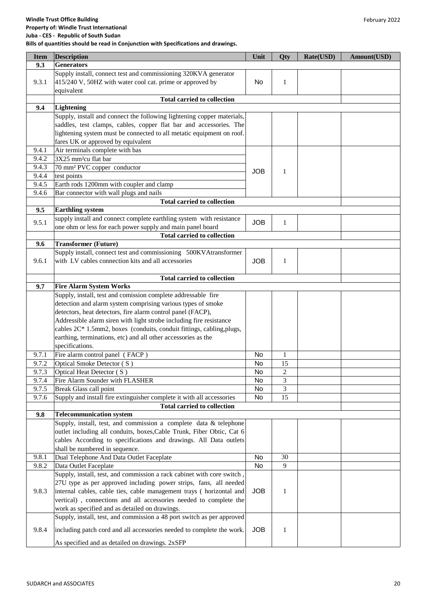| <b>Item</b> | Description                                                            | Unit       | Qty            | Rate(USD) | Amount(USD) |
|-------------|------------------------------------------------------------------------|------------|----------------|-----------|-------------|
| 9.3         | <b>Generators</b>                                                      |            |                |           |             |
|             | Supply install, connect test and commissioning 320KVA generator        |            |                |           |             |
| 9.3.1       | 415/240 V, 50HZ with water cool cat. prime or approved by              | No         | 1              |           |             |
|             | equivalent                                                             |            |                |           |             |
|             | <b>Total carried to collection</b>                                     |            |                |           |             |
| 9.4         | Lightening                                                             |            |                |           |             |
|             | Supply, install and connect the following lightening copper materials, |            |                |           |             |
|             | saddles, test clamps, cables, copper flat bar and accessories. The     |            |                |           |             |
|             | lightening system must be connected to all metatic equipment on roof.  |            |                |           |             |
|             | fares UK or approved by equivalent                                     |            |                |           |             |
| 9.4.1       | Air terminals complete with bas                                        |            |                |           |             |
| 9.4.2       | 3X25 mm <sup>2</sup> cu flat bar                                       |            |                |           |             |
| 9.4.3       | 70 mm <sup>2</sup> PVC copper conductor                                |            |                |           |             |
| 9.4.4       | test points                                                            | <b>JOB</b> | 1              |           |             |
| 9.4.5       | Earth rods 1200mm with coupler and clamp                               |            |                |           |             |
| 9.4.6       | Bar connector with wall plugs and nails                                |            |                |           |             |
|             | <b>Total carried to collection</b>                                     |            |                |           |             |
| 9.5         | <b>Earthling system</b>                                                |            |                |           |             |
|             | supply install and connect complete earthling system with resistance   |            |                |           |             |
| 9.5.1       | one ohm or less for each power supply and main panel board             | <b>JOB</b> | 1              |           |             |
|             | <b>Total carried to collection</b>                                     |            |                |           |             |
| 9.6         | <b>Transformer (Future)</b>                                            |            |                |           |             |
|             | Supply install, connect test and commissioning 500KVAtransformer       |            |                |           |             |
|             | with LV cables connection kits and all accessories                     |            |                |           |             |
| 9.6.1       |                                                                        | <b>JOB</b> | $\mathbf{1}$   |           |             |
|             |                                                                        |            |                |           |             |
|             | <b>Total carried to collection</b>                                     |            |                |           |             |
| 9.7         | <b>Fire Alarm System Works</b>                                         |            |                |           |             |
|             | Supply, install, test and comission complete addressable fire          |            |                |           |             |
|             | detection and alarm system comprising various types of smoke           |            |                |           |             |
|             | detectors, heat detectors, fire alarm control panel (FACP),            |            |                |           |             |
|             | Addressible alarm siren with light strobe including fire resistance    |            |                |           |             |
|             | cables 2C* 1.5mm2, boxes (conduits, conduit fittings, cabling, plugs,  |            |                |           |             |
|             | earthing, terminations, etc) and all other accessories as the          |            |                |           |             |
|             | specifications.                                                        |            |                |           |             |
| 9.7.1       | Fire alarm control panel (FACP)                                        | No         | $\mathbf{1}$   |           |             |
| 9.7.2       | Optical Smoke Detector (S)                                             | No         | 15             |           |             |
| 9.7.3       | Optical Heat Detector (S)                                              | No         | $\overline{2}$ |           |             |
| 9.7.4       | Fire Alarm Sounder with FLASHER                                        | No         | 3              |           |             |
| 9.7.5       | Break Glass call point                                                 | No         | 3              |           |             |
| 9.7.6       | Supply and install fire extinguisher complete it with all accessories  | No         | 15             |           |             |
|             | <b>Total carried to collection</b>                                     |            |                |           |             |
| 9.8         | <b>Telecommunication system</b>                                        |            |                |           |             |
|             | Supply, install, test, and commission a complete data & telephone      |            |                |           |             |
|             | outlet including all conduits, boxes, Cable Trunk, Fiber Obtic, Cat 6  |            |                |           |             |
|             | cables According to specifications and drawings. All Data outlets      |            |                |           |             |
|             | shall be numbered in sequence.                                         |            |                |           |             |
| 9.8.1       | Dual Telephone And Data Outlet Faceplate                               | No         | 30             |           |             |
| 9.8.2       | Data Outlet Faceplate                                                  | No         | 9              |           |             |
|             | Supply, install, test, and commission a rack cabinet with core switch, |            |                |           |             |
|             | 27U type as per approved including power strips, fans, all needed      |            |                |           |             |
| 9.8.3       | internal cables, cable ties, cable management trays (horizontal and    | <b>JOB</b> | $\mathbf{1}$   |           |             |
|             | vertical), connections and all accessories needed to complete the      |            |                |           |             |
|             | work as specified and as detailed on drawings.                         |            |                |           |             |
|             | Supply, install, test, and commission a 48 port switch as per approved |            |                |           |             |
|             |                                                                        |            |                |           |             |
| 9.8.4       | including patch cord and all accessories needed to complete the work.  | <b>JOB</b> | 1              |           |             |
|             | As specified and as detailed on drawings. 2xSFP                        |            |                |           |             |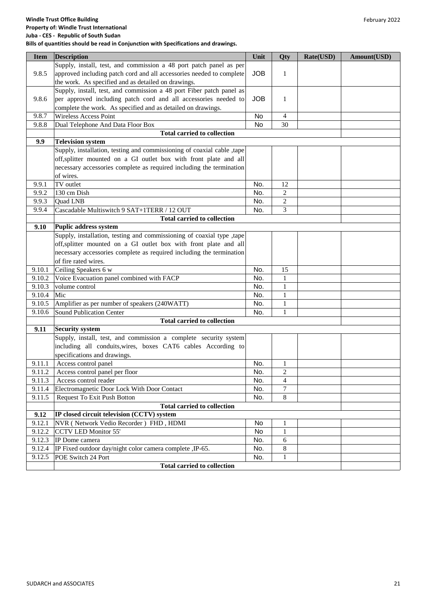| <b>Item</b> | <b>Description</b>                                                     | Unit       | <b>Qty</b>     | Rate(USD) | Amount(USD) |
|-------------|------------------------------------------------------------------------|------------|----------------|-----------|-------------|
|             | Supply, install, test, and commission a 48 port patch panel as per     |            |                |           |             |
| 9.8.5       | approved including patch cord and all accessories needed to complete   | <b>JOB</b> | 1              |           |             |
|             | the work. As specified and as detailed on drawings.                    |            |                |           |             |
|             | Supply, install, test, and commission a 48 port Fiber patch panel as   |            |                |           |             |
| 9.8.6       | per approved including patch cord and all accessories needed to        | <b>JOB</b> | 1              |           |             |
|             | complete the work. As specified and as detailed on drawings.           |            |                |           |             |
| 9.8.7       | Wireless Access Point                                                  | No         | 4              |           |             |
| 9.8.8       | Dual Telephone And Data Floor Box                                      | No         | 30             |           |             |
|             | <b>Total carried to collection</b>                                     |            |                |           |             |
| 9.9         | <b>Television system</b>                                               |            |                |           |             |
|             | Supply, installation, testing and commissioning of coaxial cable ,tape |            |                |           |             |
|             | off, splitter mounted on a GI outlet box with front plate and all      |            |                |           |             |
|             | necessary accessories complete as required including the termination   |            |                |           |             |
|             | of wires.                                                              |            |                |           |             |
| 9.9.1       | TV outlet                                                              | No.        | 12             |           |             |
| 9.9.2       | 130 cm Dish                                                            | No.        | 2              |           |             |
| 9.9.3       | Quad LNB                                                               | No.        | $\overline{c}$ |           |             |
|             |                                                                        |            | 3              |           |             |
| 9.9.4       | Cascadable Multiswitch 9 SAT+1TERR / 12 OUT                            | No.        |                |           |             |
|             | <b>Total carried to collection</b>                                     |            |                |           |             |
| 9.10        | <b>Puplic address system</b>                                           |            |                |           |             |
|             | Supply, installation, testing and commissioning of coaxial type ,tape  |            |                |           |             |
|             | off, splitter mounted on a GI outlet box with front plate and all      |            |                |           |             |
|             | necessary accessories complete as required including the termination   |            |                |           |             |
|             | of fire rated wires.                                                   |            |                |           |             |
| 9.10.1      | Ceiling Speakers 6 w                                                   | No.        | 15             |           |             |
| 9.10.2      | Voice Evacuation panel combined with FACP                              | No.        | $\mathbf{1}$   |           |             |
| 9.10.3      | volume control                                                         | No.        | $\mathbf{1}$   |           |             |
| 9.10.4      | Mic                                                                    | No.        | $\mathbf{1}$   |           |             |
| 9.10.5      | Amplifier as per number of speakers (240WATT)                          | No.        | $\mathbf{1}$   |           |             |
| 9.10.6      | <b>Sound Publication Center</b>                                        | No.        | 1              |           |             |
|             | <b>Total carried to collection</b>                                     |            |                |           |             |
| 9.11        | <b>Security system</b>                                                 |            |                |           |             |
|             | Supply, install, test, and commission a complete security system       |            |                |           |             |
|             | including all conduits, wires, boxes CAT6 cables According to          |            |                |           |             |
|             | specifications and drawings.                                           |            |                |           |             |
| 9.11.1      | Access control panel                                                   | No.        | $\mathbf{1}$   |           |             |
|             | 9.11.2 Access control panel per floor                                  | No.        | $\overline{c}$ |           |             |
| 9.11.3      | Access control reader                                                  | No.        | $\overline{4}$ |           |             |
| 9.11.4      | Electromagnetic Door Lock With Door Contact                            | No.        | 7              |           |             |
| 9.11.5      | <b>Request To Exit Push Botton</b>                                     | No.        | 8              |           |             |
|             | <b>Total carried to collection</b>                                     |            |                |           |             |
| 9.12        | IP closed circuit television (CCTV) system                             |            |                |           |             |
| 9.12.1      | NVR (Network Vedio Recorder) FHD, HDMI                                 | No         | 1              |           |             |
| 9.12.2      | <b>CCTV LED Monitor 55'</b>                                            | No         | $\mathbf{1}$   |           |             |
| 9.12.3      | IP Dome camera                                                         | No.        | 6              |           |             |
| 9.12.4      | IP Fixed outdoor day/night color camera complete , IP-65.              | No.        | 8              |           |             |
| 9.12.5      | POE Switch 24 Port                                                     | No.        | $\mathbf{1}$   |           |             |
|             | <b>Total carried to collection</b>                                     |            |                |           |             |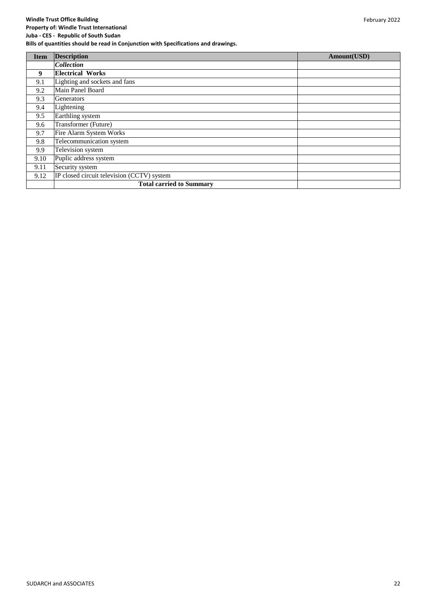| <b>Item</b> | <b>Description</b>                         | Amount(USD) |
|-------------|--------------------------------------------|-------------|
|             | <b>Collection</b>                          |             |
| 9           | <b>Electrical Works</b>                    |             |
| 9.1         | Lighting and sockets and fans              |             |
| 9.2         | Main Panel Board                           |             |
| 9.3         | Generators                                 |             |
| 9.4         | Lightening                                 |             |
| 9.5         | Earthling system                           |             |
| 9.6         | Transformer (Future)                       |             |
| 9.7         | Fire Alarm System Works                    |             |
| 9.8         | Telecommunication system                   |             |
| 9.9         | Television system                          |             |
| 9.10        | Puplic address system                      |             |
| 9.11        | Security system                            |             |
| 9.12        | IP closed circuit television (CCTV) system |             |
|             | <b>Total carried to Summary</b>            |             |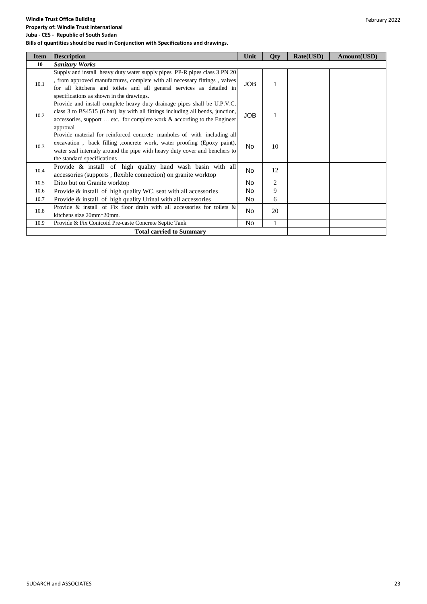| <b>Item</b> | <b>Description</b>                                                                                                                                                                                                                                                          | Unit       | Qty          | Rate(USD) | Amount(USD) |
|-------------|-----------------------------------------------------------------------------------------------------------------------------------------------------------------------------------------------------------------------------------------------------------------------------|------------|--------------|-----------|-------------|
| 10          | <b>Sanitary Works</b>                                                                                                                                                                                                                                                       |            |              |           |             |
| 10.1        | Supply and install heavy duty water supply pipes PP-R pipes class 3 PN 20<br>, from approved manufactures, complete with all necessary fittings, valves<br>for all kitchens and toilets and all general services as detailed in<br>specifications as shown in the drawings. | <b>JOB</b> |              |           |             |
| 10.2        | Provide and install complete heavy duty drainage pipes shall be U.P.V.C.<br>class 3 to BS4515 (6 bar) lay with all fittings including all bends, junction,<br>accessories, support $\dots$ etc. for complete work $\&$ according to the Engineer<br>approval                | <b>JOB</b> |              |           |             |
| 10.3        | Provide material for reinforced concrete manholes of with including all<br>excavation, back filling , concrete work, water proofing (Epoxy paint),<br>water seal internaly around the pipe with heavy duty cover and benchers to<br>the standard specifications             | No.        | 10           |           |             |
| 10.4        | Provide & install of high quality hand wash basin with all<br>accessories (supports, flexible connection) on granite worktop                                                                                                                                                | No.        | 12           |           |             |
| 10.5        | Ditto but on Granite worktop                                                                                                                                                                                                                                                | No.        | 2            |           |             |
| 10.6        | Provide $\&$ install of high quality WC, seat with all accessories                                                                                                                                                                                                          | No.        | 9            |           |             |
| 10.7        | Provide & install of high quality Urinal with all accessories                                                                                                                                                                                                               | No.        | 6            |           |             |
| 10.8        | Provide & install of Fix floor drain with all accessories for toilets &<br>kitchens size 20mm*20mm.                                                                                                                                                                         | No.        | 20           |           |             |
| 10.9        | Provide & Fix Conicoid Pre-caste Concrete Septic Tank                                                                                                                                                                                                                       | No.        | $\mathbf{1}$ |           |             |
|             | <b>Total carried to Summary</b>                                                                                                                                                                                                                                             |            |              |           |             |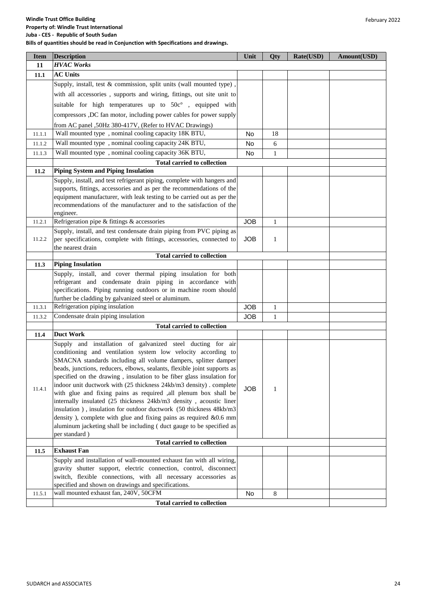#### **Windle Trust Office Building Property of: Windle Trust International Juba - CES - Republic of South Sudan Bills of quantities should be read in Conjunction with Specifications and drawings.**

| <b>Item</b> | <b>Description</b>                                                                                                                               | Unit       | Qty          | Rate(USD) | Amount(USD) |
|-------------|--------------------------------------------------------------------------------------------------------------------------------------------------|------------|--------------|-----------|-------------|
| 11          | <b>HVAC Works</b>                                                                                                                                |            |              |           |             |
| 11.1        | <b>AC Units</b>                                                                                                                                  |            |              |           |             |
|             | Supply, install, test & commission, split units (wall mounted type),                                                                             |            |              |           |             |
|             | with all accessories, supports and wiring, fittings, out site unit to                                                                            |            |              |           |             |
|             | suitable for high temperatures up to 50c°, equipped with                                                                                         |            |              |           |             |
|             | compressors ,DC fan motor, including power cables for power supply                                                                               |            |              |           |             |
|             |                                                                                                                                                  |            |              |           |             |
|             | from AC panel ,50Hz 380-417V, (Refer to HVAC Drawings)<br>Wall mounted type, nominal cooling capacity 18K BTU,                                   | No         | 18           |           |             |
| 11.1.1      | Wall mounted type, nominal cooling capacity 24K BTU,                                                                                             |            |              |           |             |
| 11.1.2      | Wall mounted type, nominal cooling capacity 36K BTU,                                                                                             | No         | 6            |           |             |
| 11.1.3      |                                                                                                                                                  | No         | $\mathbf{1}$ |           |             |
| 11.2        | <b>Total carried to collection</b><br><b>Piping System and Piping Insulation</b>                                                                 |            |              |           |             |
|             |                                                                                                                                                  |            |              |           |             |
|             | Supply, install, and test refrigerant piping, complete with hangers and<br>supports, fittings, accessories and as per the recommendations of the |            |              |           |             |
|             | equipment manufacturer, with leak testing to be carried out as per the                                                                           |            |              |           |             |
|             | recommendations of the manufacturer and to the satisfaction of the                                                                               |            |              |           |             |
|             | engineer.                                                                                                                                        |            |              |           |             |
| 11.2.1      | Refrigeration pipe & fittings & accessories                                                                                                      | <b>JOB</b> | $\mathbf{1}$ |           |             |
|             | Supply, install, and test condensate drain piping from PVC piping as                                                                             |            |              |           |             |
| 11.2.2      | per specifications, complete with fittings, accessories, connected to                                                                            | <b>JOB</b> | $\mathbf{1}$ |           |             |
|             | the nearest drain                                                                                                                                |            |              |           |             |
|             | <b>Total carried to collection</b>                                                                                                               |            |              |           |             |
| 11.3        | <b>Piping Insulation</b>                                                                                                                         |            |              |           |             |
|             | Supply, install, and cover thermal piping insulation for both                                                                                    |            |              |           |             |
|             | refrigerant and condensate drain piping in accordance with                                                                                       |            |              |           |             |
|             | specifications. Piping running outdoors or in machine room should<br>further be cladding by galvanized steel or aluminum.                        |            |              |           |             |
| 11.3.1      | Refrigeration piping insulation                                                                                                                  | <b>JOB</b> | $\mathbf{1}$ |           |             |
| 11.3.2      | Condensate drain piping insulation                                                                                                               | <b>JOB</b> | $\mathbf{1}$ |           |             |
|             | <b>Total carried to collection</b>                                                                                                               |            |              |           |             |
| 11.4        | <b>Duct Work</b>                                                                                                                                 |            |              |           |             |
|             | Supply and installation of galvanized steel ducting for air                                                                                      |            |              |           |             |
|             | conditioning and ventilation system low velocity according to                                                                                    |            |              |           |             |
|             | SMACNA standards including all volume dampers, splitter damper                                                                                   |            |              |           |             |
|             | beads, junctions, reducers, elbows, sealants, flexible joint supports as                                                                         |            |              |           |             |
|             | specified on the drawing, insulation to be fiber glass insulation for                                                                            |            |              |           |             |
| 11.4.1      | indoor unit ductwork with (25 thickness 24kb/m3 density). complete                                                                               | <b>JOB</b> | 1            |           |             |
|             | with glue and fixing pains as required , all plenum box shall be                                                                                 |            |              |           |             |
|             | internally insulated (25 thickness 24kb/m3 density, acoustic liner                                                                               |            |              |           |             |
|             | insulation), insulation for outdoor ductwork (50 thickness 48kb/m3                                                                               |            |              |           |             |
|             | density ), complete with glue and fixing pains as required $&0.6$ mm                                                                             |            |              |           |             |
|             | aluminum jacketing shall be including (duct gauge to be specified as<br>per standard)                                                            |            |              |           |             |
|             | <b>Total carried to collection</b>                                                                                                               |            |              |           |             |
| 11.5        | <b>Exhaust Fan</b>                                                                                                                               |            |              |           |             |
|             | Supply and installation of wall-mounted exhaust fan with all wiring,                                                                             |            |              |           |             |
|             | gravity shutter support, electric connection, control, disconnect                                                                                |            |              |           |             |
|             | switch, flexible connections, with all necessary accessories as                                                                                  |            |              |           |             |
|             | specified and shown on drawings and specifications.                                                                                              |            |              |           |             |
| 11.5.1      | wall mounted exhaust fan, 240V, 50CFM                                                                                                            | No         | 8            |           |             |
|             | <b>Total carried to collection</b>                                                                                                               |            |              |           |             |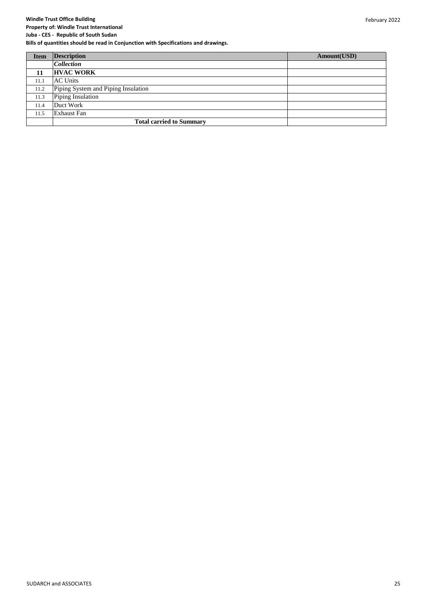#### **Windle Trust Office Building Property of: Windle Trust International**

**Juba - CES - Republic of South Sudan**

| <b>Item</b> | <b>Description</b>                  | Amount(USD) |
|-------------|-------------------------------------|-------------|
|             | <b>Collection</b>                   |             |
| 11          | <b>HVAC WORK</b>                    |             |
| 11.1        | <b>AC Units</b>                     |             |
| 11.2        | Piping System and Piping Insulation |             |
| 11.3        | Piping Insulation                   |             |
| 11.4        | Duct Work                           |             |
| 11.5        | Exhaust Fan                         |             |
|             | <b>Total carried to Summary</b>     |             |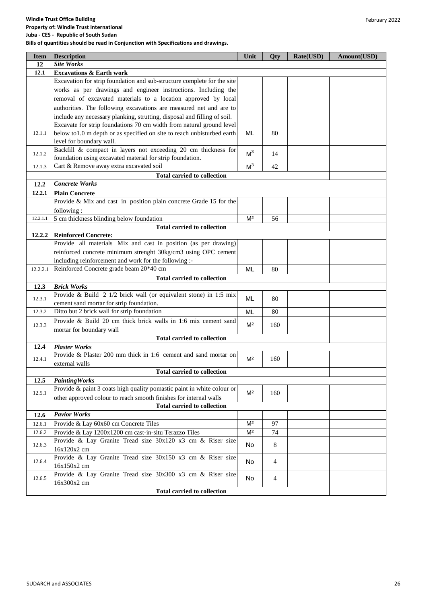| 12<br>12.1<br><b>Excavations &amp; Earth work</b><br>Excavation for strip foundation and sub-structure complete for the site<br>works as per drawings and engineer instructions. Including the<br>removal of excavated materials to a location approved by local<br>authorities. The following excavations are measured net and are to<br>include any necessary planking, strutting, disposal and filling of soil.<br>Excavate for strip foundations 70 cm width from natural ground level<br>below to1.0 m depth or as specified on site to reach unbisturbed earth<br>12.1.1<br>ML<br>80<br>level for boundary wall.<br>Backfill & compact in layers not exceeding 20 cm thickness for<br>M <sup>3</sup><br>12.1.2<br>14<br>foundation using excavated material for strip foundation.<br>M <sup>3</sup><br>Cart & Remove away extra excavated soil<br>42<br>12.1.3<br><b>Total carried to collection</b><br><b>Concrete Works</b><br>12.2<br>12.2.1<br><b>Plain Concrete</b><br>Provide & Mix and cast in position plain concrete Grade 15 for the<br>following:<br>5 cm thickness blinding below foundation<br>M <sup>2</sup><br>56<br>12.2.1.1<br><b>Total carried to collection</b><br><b>Reinforced Concrete:</b><br>12.2.2<br>Provide all materials Mix and cast in position (as per drawing)<br>reinforced concrete minimum strenght 30kg/cm3 using OPC cement<br>including reinforcement and work for the following :-<br>Reinforced Concrete grade beam 20*40 cm<br><b>ML</b><br>12.2.2.1<br>80<br><b>Total carried to collection</b><br>12.3<br><b>Brick Works</b><br>Provide & Build 2 1/2 brick wall (or equivalent stone) in 1:5 mix<br>12.3.1<br>ML<br>80<br>cement sand mortar for strip foundation.<br>Ditto but 2 brick wall for strip foundation<br>ML<br>80<br>12.3.2<br>Provide & Build 20 cm thick brick walls in 1:6 mix cement sand<br>M <sup>2</sup><br>12.3.3<br>160<br>mortar for boundary wall<br><b>Total carried to collection</b><br><b>Plaster Works</b><br>12.4<br>Provide & Plaster 200 mm thick in 1:6 cement and sand mortar on<br>M <sup>2</sup><br>12.4.1<br>160<br>external walls<br><b>Total carried to collection</b><br>12.5<br><b>Painting Works</b><br>Provide & paint 3 coats high quality pomastic paint in white colour or<br>M <sup>2</sup><br>12.5.1<br>160<br>other approved colour to reach smooth finishes for internal walls<br><b>Total carried to collection</b><br><b>Pavior Works</b><br>12.6<br>Provide & Lay 60x60 cm Concrete Tiles<br>M <sup>2</sup><br>12.6.1<br>97<br>Provide & Lay 1200x1200 cm cast-in-situ Terazzo Tiles<br>M <sup>2</sup><br>74<br>12.6.2<br>Provide & Lay Granite Tread size 30x120 x3 cm & Riser size<br>$8\,$<br>12.6.3<br>No<br>16x120x2 cm<br>Provide & Lay Granite Tread size 30x150 x3 cm & Riser size<br>No<br>$\overline{4}$<br>12.6.4<br>16x150x2 cm<br>Provide & Lay Granite Tread size 30x300 x3 cm & Riser size<br>$\overline{4}$<br>12.6.5<br>No<br>16x300x2 cm<br><b>Total carried to collection</b> | <b>Item</b> | <b>Description</b> | Unit | Qty | Rate(USD) | Amount(USD) |
|--------------------------------------------------------------------------------------------------------------------------------------------------------------------------------------------------------------------------------------------------------------------------------------------------------------------------------------------------------------------------------------------------------------------------------------------------------------------------------------------------------------------------------------------------------------------------------------------------------------------------------------------------------------------------------------------------------------------------------------------------------------------------------------------------------------------------------------------------------------------------------------------------------------------------------------------------------------------------------------------------------------------------------------------------------------------------------------------------------------------------------------------------------------------------------------------------------------------------------------------------------------------------------------------------------------------------------------------------------------------------------------------------------------------------------------------------------------------------------------------------------------------------------------------------------------------------------------------------------------------------------------------------------------------------------------------------------------------------------------------------------------------------------------------------------------------------------------------------------------------------------------------------------------------------------------------------------------------------------------------------------------------------------------------------------------------------------------------------------------------------------------------------------------------------------------------------------------------------------------------------------------------------------------------------------------------------------------------------------------------------------------------------------------------------------------------------------------------------------------------------------------------------------------------------------------------------------------------------------------------------------------------------------------------------------------------------------------------------------------------------------------------------------------------------------------------------------------------------------------------------------------------------------------------------------------------------------------------------------------------------------|-------------|--------------------|------|-----|-----------|-------------|
|                                                                                                                                                                                                                                                                                                                                                                                                                                                                                                                                                                                                                                                                                                                                                                                                                                                                                                                                                                                                                                                                                                                                                                                                                                                                                                                                                                                                                                                                                                                                                                                                                                                                                                                                                                                                                                                                                                                                                                                                                                                                                                                                                                                                                                                                                                                                                                                                                                                                                                                                                                                                                                                                                                                                                                                                                                                                                                                                                                                                        |             | <b>Site Works</b>  |      |     |           |             |
|                                                                                                                                                                                                                                                                                                                                                                                                                                                                                                                                                                                                                                                                                                                                                                                                                                                                                                                                                                                                                                                                                                                                                                                                                                                                                                                                                                                                                                                                                                                                                                                                                                                                                                                                                                                                                                                                                                                                                                                                                                                                                                                                                                                                                                                                                                                                                                                                                                                                                                                                                                                                                                                                                                                                                                                                                                                                                                                                                                                                        |             |                    |      |     |           |             |
|                                                                                                                                                                                                                                                                                                                                                                                                                                                                                                                                                                                                                                                                                                                                                                                                                                                                                                                                                                                                                                                                                                                                                                                                                                                                                                                                                                                                                                                                                                                                                                                                                                                                                                                                                                                                                                                                                                                                                                                                                                                                                                                                                                                                                                                                                                                                                                                                                                                                                                                                                                                                                                                                                                                                                                                                                                                                                                                                                                                                        |             |                    |      |     |           |             |
|                                                                                                                                                                                                                                                                                                                                                                                                                                                                                                                                                                                                                                                                                                                                                                                                                                                                                                                                                                                                                                                                                                                                                                                                                                                                                                                                                                                                                                                                                                                                                                                                                                                                                                                                                                                                                                                                                                                                                                                                                                                                                                                                                                                                                                                                                                                                                                                                                                                                                                                                                                                                                                                                                                                                                                                                                                                                                                                                                                                                        |             |                    |      |     |           |             |
|                                                                                                                                                                                                                                                                                                                                                                                                                                                                                                                                                                                                                                                                                                                                                                                                                                                                                                                                                                                                                                                                                                                                                                                                                                                                                                                                                                                                                                                                                                                                                                                                                                                                                                                                                                                                                                                                                                                                                                                                                                                                                                                                                                                                                                                                                                                                                                                                                                                                                                                                                                                                                                                                                                                                                                                                                                                                                                                                                                                                        |             |                    |      |     |           |             |
|                                                                                                                                                                                                                                                                                                                                                                                                                                                                                                                                                                                                                                                                                                                                                                                                                                                                                                                                                                                                                                                                                                                                                                                                                                                                                                                                                                                                                                                                                                                                                                                                                                                                                                                                                                                                                                                                                                                                                                                                                                                                                                                                                                                                                                                                                                                                                                                                                                                                                                                                                                                                                                                                                                                                                                                                                                                                                                                                                                                                        |             |                    |      |     |           |             |
|                                                                                                                                                                                                                                                                                                                                                                                                                                                                                                                                                                                                                                                                                                                                                                                                                                                                                                                                                                                                                                                                                                                                                                                                                                                                                                                                                                                                                                                                                                                                                                                                                                                                                                                                                                                                                                                                                                                                                                                                                                                                                                                                                                                                                                                                                                                                                                                                                                                                                                                                                                                                                                                                                                                                                                                                                                                                                                                                                                                                        |             |                    |      |     |           |             |
|                                                                                                                                                                                                                                                                                                                                                                                                                                                                                                                                                                                                                                                                                                                                                                                                                                                                                                                                                                                                                                                                                                                                                                                                                                                                                                                                                                                                                                                                                                                                                                                                                                                                                                                                                                                                                                                                                                                                                                                                                                                                                                                                                                                                                                                                                                                                                                                                                                                                                                                                                                                                                                                                                                                                                                                                                                                                                                                                                                                                        |             |                    |      |     |           |             |
|                                                                                                                                                                                                                                                                                                                                                                                                                                                                                                                                                                                                                                                                                                                                                                                                                                                                                                                                                                                                                                                                                                                                                                                                                                                                                                                                                                                                                                                                                                                                                                                                                                                                                                                                                                                                                                                                                                                                                                                                                                                                                                                                                                                                                                                                                                                                                                                                                                                                                                                                                                                                                                                                                                                                                                                                                                                                                                                                                                                                        |             |                    |      |     |           |             |
|                                                                                                                                                                                                                                                                                                                                                                                                                                                                                                                                                                                                                                                                                                                                                                                                                                                                                                                                                                                                                                                                                                                                                                                                                                                                                                                                                                                                                                                                                                                                                                                                                                                                                                                                                                                                                                                                                                                                                                                                                                                                                                                                                                                                                                                                                                                                                                                                                                                                                                                                                                                                                                                                                                                                                                                                                                                                                                                                                                                                        |             |                    |      |     |           |             |
|                                                                                                                                                                                                                                                                                                                                                                                                                                                                                                                                                                                                                                                                                                                                                                                                                                                                                                                                                                                                                                                                                                                                                                                                                                                                                                                                                                                                                                                                                                                                                                                                                                                                                                                                                                                                                                                                                                                                                                                                                                                                                                                                                                                                                                                                                                                                                                                                                                                                                                                                                                                                                                                                                                                                                                                                                                                                                                                                                                                                        |             |                    |      |     |           |             |
|                                                                                                                                                                                                                                                                                                                                                                                                                                                                                                                                                                                                                                                                                                                                                                                                                                                                                                                                                                                                                                                                                                                                                                                                                                                                                                                                                                                                                                                                                                                                                                                                                                                                                                                                                                                                                                                                                                                                                                                                                                                                                                                                                                                                                                                                                                                                                                                                                                                                                                                                                                                                                                                                                                                                                                                                                                                                                                                                                                                                        |             |                    |      |     |           |             |
|                                                                                                                                                                                                                                                                                                                                                                                                                                                                                                                                                                                                                                                                                                                                                                                                                                                                                                                                                                                                                                                                                                                                                                                                                                                                                                                                                                                                                                                                                                                                                                                                                                                                                                                                                                                                                                                                                                                                                                                                                                                                                                                                                                                                                                                                                                                                                                                                                                                                                                                                                                                                                                                                                                                                                                                                                                                                                                                                                                                                        |             |                    |      |     |           |             |
|                                                                                                                                                                                                                                                                                                                                                                                                                                                                                                                                                                                                                                                                                                                                                                                                                                                                                                                                                                                                                                                                                                                                                                                                                                                                                                                                                                                                                                                                                                                                                                                                                                                                                                                                                                                                                                                                                                                                                                                                                                                                                                                                                                                                                                                                                                                                                                                                                                                                                                                                                                                                                                                                                                                                                                                                                                                                                                                                                                                                        |             |                    |      |     |           |             |
|                                                                                                                                                                                                                                                                                                                                                                                                                                                                                                                                                                                                                                                                                                                                                                                                                                                                                                                                                                                                                                                                                                                                                                                                                                                                                                                                                                                                                                                                                                                                                                                                                                                                                                                                                                                                                                                                                                                                                                                                                                                                                                                                                                                                                                                                                                                                                                                                                                                                                                                                                                                                                                                                                                                                                                                                                                                                                                                                                                                                        |             |                    |      |     |           |             |
|                                                                                                                                                                                                                                                                                                                                                                                                                                                                                                                                                                                                                                                                                                                                                                                                                                                                                                                                                                                                                                                                                                                                                                                                                                                                                                                                                                                                                                                                                                                                                                                                                                                                                                                                                                                                                                                                                                                                                                                                                                                                                                                                                                                                                                                                                                                                                                                                                                                                                                                                                                                                                                                                                                                                                                                                                                                                                                                                                                                                        |             |                    |      |     |           |             |
|                                                                                                                                                                                                                                                                                                                                                                                                                                                                                                                                                                                                                                                                                                                                                                                                                                                                                                                                                                                                                                                                                                                                                                                                                                                                                                                                                                                                                                                                                                                                                                                                                                                                                                                                                                                                                                                                                                                                                                                                                                                                                                                                                                                                                                                                                                                                                                                                                                                                                                                                                                                                                                                                                                                                                                                                                                                                                                                                                                                                        |             |                    |      |     |           |             |
|                                                                                                                                                                                                                                                                                                                                                                                                                                                                                                                                                                                                                                                                                                                                                                                                                                                                                                                                                                                                                                                                                                                                                                                                                                                                                                                                                                                                                                                                                                                                                                                                                                                                                                                                                                                                                                                                                                                                                                                                                                                                                                                                                                                                                                                                                                                                                                                                                                                                                                                                                                                                                                                                                                                                                                                                                                                                                                                                                                                                        |             |                    |      |     |           |             |
|                                                                                                                                                                                                                                                                                                                                                                                                                                                                                                                                                                                                                                                                                                                                                                                                                                                                                                                                                                                                                                                                                                                                                                                                                                                                                                                                                                                                                                                                                                                                                                                                                                                                                                                                                                                                                                                                                                                                                                                                                                                                                                                                                                                                                                                                                                                                                                                                                                                                                                                                                                                                                                                                                                                                                                                                                                                                                                                                                                                                        |             |                    |      |     |           |             |
|                                                                                                                                                                                                                                                                                                                                                                                                                                                                                                                                                                                                                                                                                                                                                                                                                                                                                                                                                                                                                                                                                                                                                                                                                                                                                                                                                                                                                                                                                                                                                                                                                                                                                                                                                                                                                                                                                                                                                                                                                                                                                                                                                                                                                                                                                                                                                                                                                                                                                                                                                                                                                                                                                                                                                                                                                                                                                                                                                                                                        |             |                    |      |     |           |             |
|                                                                                                                                                                                                                                                                                                                                                                                                                                                                                                                                                                                                                                                                                                                                                                                                                                                                                                                                                                                                                                                                                                                                                                                                                                                                                                                                                                                                                                                                                                                                                                                                                                                                                                                                                                                                                                                                                                                                                                                                                                                                                                                                                                                                                                                                                                                                                                                                                                                                                                                                                                                                                                                                                                                                                                                                                                                                                                                                                                                                        |             |                    |      |     |           |             |
|                                                                                                                                                                                                                                                                                                                                                                                                                                                                                                                                                                                                                                                                                                                                                                                                                                                                                                                                                                                                                                                                                                                                                                                                                                                                                                                                                                                                                                                                                                                                                                                                                                                                                                                                                                                                                                                                                                                                                                                                                                                                                                                                                                                                                                                                                                                                                                                                                                                                                                                                                                                                                                                                                                                                                                                                                                                                                                                                                                                                        |             |                    |      |     |           |             |
|                                                                                                                                                                                                                                                                                                                                                                                                                                                                                                                                                                                                                                                                                                                                                                                                                                                                                                                                                                                                                                                                                                                                                                                                                                                                                                                                                                                                                                                                                                                                                                                                                                                                                                                                                                                                                                                                                                                                                                                                                                                                                                                                                                                                                                                                                                                                                                                                                                                                                                                                                                                                                                                                                                                                                                                                                                                                                                                                                                                                        |             |                    |      |     |           |             |
|                                                                                                                                                                                                                                                                                                                                                                                                                                                                                                                                                                                                                                                                                                                                                                                                                                                                                                                                                                                                                                                                                                                                                                                                                                                                                                                                                                                                                                                                                                                                                                                                                                                                                                                                                                                                                                                                                                                                                                                                                                                                                                                                                                                                                                                                                                                                                                                                                                                                                                                                                                                                                                                                                                                                                                                                                                                                                                                                                                                                        |             |                    |      |     |           |             |
|                                                                                                                                                                                                                                                                                                                                                                                                                                                                                                                                                                                                                                                                                                                                                                                                                                                                                                                                                                                                                                                                                                                                                                                                                                                                                                                                                                                                                                                                                                                                                                                                                                                                                                                                                                                                                                                                                                                                                                                                                                                                                                                                                                                                                                                                                                                                                                                                                                                                                                                                                                                                                                                                                                                                                                                                                                                                                                                                                                                                        |             |                    |      |     |           |             |
|                                                                                                                                                                                                                                                                                                                                                                                                                                                                                                                                                                                                                                                                                                                                                                                                                                                                                                                                                                                                                                                                                                                                                                                                                                                                                                                                                                                                                                                                                                                                                                                                                                                                                                                                                                                                                                                                                                                                                                                                                                                                                                                                                                                                                                                                                                                                                                                                                                                                                                                                                                                                                                                                                                                                                                                                                                                                                                                                                                                                        |             |                    |      |     |           |             |
|                                                                                                                                                                                                                                                                                                                                                                                                                                                                                                                                                                                                                                                                                                                                                                                                                                                                                                                                                                                                                                                                                                                                                                                                                                                                                                                                                                                                                                                                                                                                                                                                                                                                                                                                                                                                                                                                                                                                                                                                                                                                                                                                                                                                                                                                                                                                                                                                                                                                                                                                                                                                                                                                                                                                                                                                                                                                                                                                                                                                        |             |                    |      |     |           |             |
|                                                                                                                                                                                                                                                                                                                                                                                                                                                                                                                                                                                                                                                                                                                                                                                                                                                                                                                                                                                                                                                                                                                                                                                                                                                                                                                                                                                                                                                                                                                                                                                                                                                                                                                                                                                                                                                                                                                                                                                                                                                                                                                                                                                                                                                                                                                                                                                                                                                                                                                                                                                                                                                                                                                                                                                                                                                                                                                                                                                                        |             |                    |      |     |           |             |
|                                                                                                                                                                                                                                                                                                                                                                                                                                                                                                                                                                                                                                                                                                                                                                                                                                                                                                                                                                                                                                                                                                                                                                                                                                                                                                                                                                                                                                                                                                                                                                                                                                                                                                                                                                                                                                                                                                                                                                                                                                                                                                                                                                                                                                                                                                                                                                                                                                                                                                                                                                                                                                                                                                                                                                                                                                                                                                                                                                                                        |             |                    |      |     |           |             |
|                                                                                                                                                                                                                                                                                                                                                                                                                                                                                                                                                                                                                                                                                                                                                                                                                                                                                                                                                                                                                                                                                                                                                                                                                                                                                                                                                                                                                                                                                                                                                                                                                                                                                                                                                                                                                                                                                                                                                                                                                                                                                                                                                                                                                                                                                                                                                                                                                                                                                                                                                                                                                                                                                                                                                                                                                                                                                                                                                                                                        |             |                    |      |     |           |             |
|                                                                                                                                                                                                                                                                                                                                                                                                                                                                                                                                                                                                                                                                                                                                                                                                                                                                                                                                                                                                                                                                                                                                                                                                                                                                                                                                                                                                                                                                                                                                                                                                                                                                                                                                                                                                                                                                                                                                                                                                                                                                                                                                                                                                                                                                                                                                                                                                                                                                                                                                                                                                                                                                                                                                                                                                                                                                                                                                                                                                        |             |                    |      |     |           |             |
|                                                                                                                                                                                                                                                                                                                                                                                                                                                                                                                                                                                                                                                                                                                                                                                                                                                                                                                                                                                                                                                                                                                                                                                                                                                                                                                                                                                                                                                                                                                                                                                                                                                                                                                                                                                                                                                                                                                                                                                                                                                                                                                                                                                                                                                                                                                                                                                                                                                                                                                                                                                                                                                                                                                                                                                                                                                                                                                                                                                                        |             |                    |      |     |           |             |
|                                                                                                                                                                                                                                                                                                                                                                                                                                                                                                                                                                                                                                                                                                                                                                                                                                                                                                                                                                                                                                                                                                                                                                                                                                                                                                                                                                                                                                                                                                                                                                                                                                                                                                                                                                                                                                                                                                                                                                                                                                                                                                                                                                                                                                                                                                                                                                                                                                                                                                                                                                                                                                                                                                                                                                                                                                                                                                                                                                                                        |             |                    |      |     |           |             |
|                                                                                                                                                                                                                                                                                                                                                                                                                                                                                                                                                                                                                                                                                                                                                                                                                                                                                                                                                                                                                                                                                                                                                                                                                                                                                                                                                                                                                                                                                                                                                                                                                                                                                                                                                                                                                                                                                                                                                                                                                                                                                                                                                                                                                                                                                                                                                                                                                                                                                                                                                                                                                                                                                                                                                                                                                                                                                                                                                                                                        |             |                    |      |     |           |             |
|                                                                                                                                                                                                                                                                                                                                                                                                                                                                                                                                                                                                                                                                                                                                                                                                                                                                                                                                                                                                                                                                                                                                                                                                                                                                                                                                                                                                                                                                                                                                                                                                                                                                                                                                                                                                                                                                                                                                                                                                                                                                                                                                                                                                                                                                                                                                                                                                                                                                                                                                                                                                                                                                                                                                                                                                                                                                                                                                                                                                        |             |                    |      |     |           |             |
|                                                                                                                                                                                                                                                                                                                                                                                                                                                                                                                                                                                                                                                                                                                                                                                                                                                                                                                                                                                                                                                                                                                                                                                                                                                                                                                                                                                                                                                                                                                                                                                                                                                                                                                                                                                                                                                                                                                                                                                                                                                                                                                                                                                                                                                                                                                                                                                                                                                                                                                                                                                                                                                                                                                                                                                                                                                                                                                                                                                                        |             |                    |      |     |           |             |
|                                                                                                                                                                                                                                                                                                                                                                                                                                                                                                                                                                                                                                                                                                                                                                                                                                                                                                                                                                                                                                                                                                                                                                                                                                                                                                                                                                                                                                                                                                                                                                                                                                                                                                                                                                                                                                                                                                                                                                                                                                                                                                                                                                                                                                                                                                                                                                                                                                                                                                                                                                                                                                                                                                                                                                                                                                                                                                                                                                                                        |             |                    |      |     |           |             |
|                                                                                                                                                                                                                                                                                                                                                                                                                                                                                                                                                                                                                                                                                                                                                                                                                                                                                                                                                                                                                                                                                                                                                                                                                                                                                                                                                                                                                                                                                                                                                                                                                                                                                                                                                                                                                                                                                                                                                                                                                                                                                                                                                                                                                                                                                                                                                                                                                                                                                                                                                                                                                                                                                                                                                                                                                                                                                                                                                                                                        |             |                    |      |     |           |             |
|                                                                                                                                                                                                                                                                                                                                                                                                                                                                                                                                                                                                                                                                                                                                                                                                                                                                                                                                                                                                                                                                                                                                                                                                                                                                                                                                                                                                                                                                                                                                                                                                                                                                                                                                                                                                                                                                                                                                                                                                                                                                                                                                                                                                                                                                                                                                                                                                                                                                                                                                                                                                                                                                                                                                                                                                                                                                                                                                                                                                        |             |                    |      |     |           |             |
|                                                                                                                                                                                                                                                                                                                                                                                                                                                                                                                                                                                                                                                                                                                                                                                                                                                                                                                                                                                                                                                                                                                                                                                                                                                                                                                                                                                                                                                                                                                                                                                                                                                                                                                                                                                                                                                                                                                                                                                                                                                                                                                                                                                                                                                                                                                                                                                                                                                                                                                                                                                                                                                                                                                                                                                                                                                                                                                                                                                                        |             |                    |      |     |           |             |
|                                                                                                                                                                                                                                                                                                                                                                                                                                                                                                                                                                                                                                                                                                                                                                                                                                                                                                                                                                                                                                                                                                                                                                                                                                                                                                                                                                                                                                                                                                                                                                                                                                                                                                                                                                                                                                                                                                                                                                                                                                                                                                                                                                                                                                                                                                                                                                                                                                                                                                                                                                                                                                                                                                                                                                                                                                                                                                                                                                                                        |             |                    |      |     |           |             |
|                                                                                                                                                                                                                                                                                                                                                                                                                                                                                                                                                                                                                                                                                                                                                                                                                                                                                                                                                                                                                                                                                                                                                                                                                                                                                                                                                                                                                                                                                                                                                                                                                                                                                                                                                                                                                                                                                                                                                                                                                                                                                                                                                                                                                                                                                                                                                                                                                                                                                                                                                                                                                                                                                                                                                                                                                                                                                                                                                                                                        |             |                    |      |     |           |             |
|                                                                                                                                                                                                                                                                                                                                                                                                                                                                                                                                                                                                                                                                                                                                                                                                                                                                                                                                                                                                                                                                                                                                                                                                                                                                                                                                                                                                                                                                                                                                                                                                                                                                                                                                                                                                                                                                                                                                                                                                                                                                                                                                                                                                                                                                                                                                                                                                                                                                                                                                                                                                                                                                                                                                                                                                                                                                                                                                                                                                        |             |                    |      |     |           |             |
|                                                                                                                                                                                                                                                                                                                                                                                                                                                                                                                                                                                                                                                                                                                                                                                                                                                                                                                                                                                                                                                                                                                                                                                                                                                                                                                                                                                                                                                                                                                                                                                                                                                                                                                                                                                                                                                                                                                                                                                                                                                                                                                                                                                                                                                                                                                                                                                                                                                                                                                                                                                                                                                                                                                                                                                                                                                                                                                                                                                                        |             |                    |      |     |           |             |
|                                                                                                                                                                                                                                                                                                                                                                                                                                                                                                                                                                                                                                                                                                                                                                                                                                                                                                                                                                                                                                                                                                                                                                                                                                                                                                                                                                                                                                                                                                                                                                                                                                                                                                                                                                                                                                                                                                                                                                                                                                                                                                                                                                                                                                                                                                                                                                                                                                                                                                                                                                                                                                                                                                                                                                                                                                                                                                                                                                                                        |             |                    |      |     |           |             |
|                                                                                                                                                                                                                                                                                                                                                                                                                                                                                                                                                                                                                                                                                                                                                                                                                                                                                                                                                                                                                                                                                                                                                                                                                                                                                                                                                                                                                                                                                                                                                                                                                                                                                                                                                                                                                                                                                                                                                                                                                                                                                                                                                                                                                                                                                                                                                                                                                                                                                                                                                                                                                                                                                                                                                                                                                                                                                                                                                                                                        |             |                    |      |     |           |             |
|                                                                                                                                                                                                                                                                                                                                                                                                                                                                                                                                                                                                                                                                                                                                                                                                                                                                                                                                                                                                                                                                                                                                                                                                                                                                                                                                                                                                                                                                                                                                                                                                                                                                                                                                                                                                                                                                                                                                                                                                                                                                                                                                                                                                                                                                                                                                                                                                                                                                                                                                                                                                                                                                                                                                                                                                                                                                                                                                                                                                        |             |                    |      |     |           |             |
|                                                                                                                                                                                                                                                                                                                                                                                                                                                                                                                                                                                                                                                                                                                                                                                                                                                                                                                                                                                                                                                                                                                                                                                                                                                                                                                                                                                                                                                                                                                                                                                                                                                                                                                                                                                                                                                                                                                                                                                                                                                                                                                                                                                                                                                                                                                                                                                                                                                                                                                                                                                                                                                                                                                                                                                                                                                                                                                                                                                                        |             |                    |      |     |           |             |
|                                                                                                                                                                                                                                                                                                                                                                                                                                                                                                                                                                                                                                                                                                                                                                                                                                                                                                                                                                                                                                                                                                                                                                                                                                                                                                                                                                                                                                                                                                                                                                                                                                                                                                                                                                                                                                                                                                                                                                                                                                                                                                                                                                                                                                                                                                                                                                                                                                                                                                                                                                                                                                                                                                                                                                                                                                                                                                                                                                                                        |             |                    |      |     |           |             |
|                                                                                                                                                                                                                                                                                                                                                                                                                                                                                                                                                                                                                                                                                                                                                                                                                                                                                                                                                                                                                                                                                                                                                                                                                                                                                                                                                                                                                                                                                                                                                                                                                                                                                                                                                                                                                                                                                                                                                                                                                                                                                                                                                                                                                                                                                                                                                                                                                                                                                                                                                                                                                                                                                                                                                                                                                                                                                                                                                                                                        |             |                    |      |     |           |             |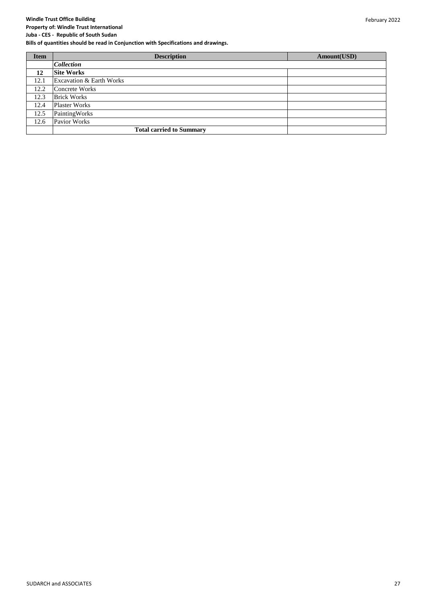#### **Property of: Windle Trust International Juba - CES - Republic of South Sudan**

| <b>Item</b> | <b>Description</b>                  | Amount(USD) |
|-------------|-------------------------------------|-------------|
|             | <i>Collection</i>                   |             |
| 12          | <b>Site Works</b>                   |             |
| 12.1        | <b>Excavation &amp; Earth Works</b> |             |
| 12.2        | Concrete Works                      |             |
| 12.3        | <b>Brick Works</b>                  |             |
| 12.4        | <b>Plaster Works</b>                |             |
| 12.5        | PaintingWorks                       |             |
| 12.6        | Pavior Works                        |             |
|             | <b>Total carried to Summary</b>     |             |